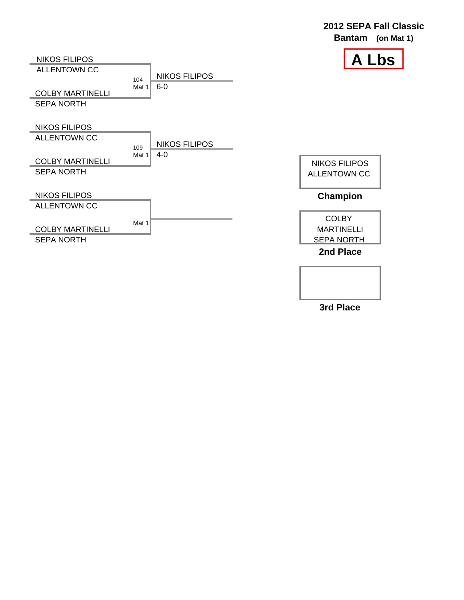

**3rd Place**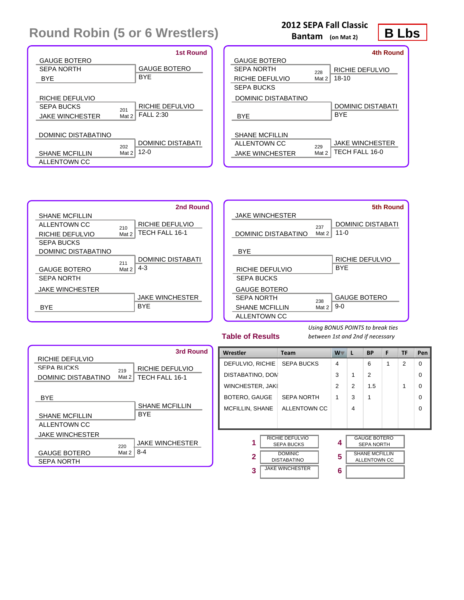|                        |       | <b>1st Round</b>         |
|------------------------|-------|--------------------------|
| <b>GAUGE BOTERO</b>    |       |                          |
| SEPA NORTH             |       | <b>GAUGE BOTERO</b>      |
| <b>BYF</b>             |       | <b>BYF</b>               |
|                        |       |                          |
| RICHIE DEFULVIO        |       |                          |
| SEPA BLICKS            | 201   | RICHIE DEFULVIO          |
| <b>JAKE WINCHESTER</b> | Mat 2 | <b>FALL 2:30</b>         |
|                        |       |                          |
| DOMINIC DISTABATINO    |       |                          |
|                        | 202   | <b>DOMINIC DISTABATI</b> |
| <b>SHANE MCFILLIN</b>  | Mat 2 | $12 - 0$                 |
| ALLENTOWN CC           |       |                          |

### **2012 SEPA Fall Classic**

**Bantam (on Mat 2)**

### **B Lbs**

|                        |       | 4th Round                |
|------------------------|-------|--------------------------|
| <b>GAUGE BOTERO</b>    |       |                          |
| SEPA NORTH             | 228   | RICHIE DEFULVIO          |
| RICHIE DEFULVIO        | Mat 2 | $18 - 10$                |
| <b>SEPA BUCKS</b>      |       |                          |
| DOMINIC DISTABATINO    |       |                          |
|                        |       | <b>DOMINIC DISTABATI</b> |
| <b>BYF</b>             |       | <b>BYF</b>               |
|                        |       |                          |
| <b>SHANE MCFILLIN</b>  |       |                          |
| ALL ENTOWN CC.         | 229   | <b>JAKE WINCHESTER</b>   |
| <b>JAKE WINCHESTER</b> | Mat 2 | TECH FALL 16-0           |
|                        |       |                          |



|                        |              | <b>5th Round</b>                         |
|------------------------|--------------|------------------------------------------|
| <b>JAKE WINCHESTER</b> |              |                                          |
| DOMINIC DISTABATINO    | 237<br>Mat 2 | <b>DOMINIC DISTABATI</b><br>11- $\Omega$ |
| <b>BYF</b>             |              |                                          |
|                        |              | RICHIE DEFULVIO                          |
| RICHIE DEFULVIO        |              | <b>BYF</b>                               |
| <b>SEPA BUCKS</b>      |              |                                          |
| <b>GAUGE BOTERO</b>    |              |                                          |
| SEPA NORTH             | 238          | <b>GAUGE BOTERO</b>                      |
| <b>SHANE MCFILLIN</b>  | Mat 2        | $9-0$                                    |
| ALLENTOWN CC           |              |                                          |

#### **Table of Results**



| Wrestler               | <b>Team</b>                                                                                                   | $W^-$       | L | <b>BP</b>                                                                         | F | TF             | Pen      |
|------------------------|---------------------------------------------------------------------------------------------------------------|-------------|---|-----------------------------------------------------------------------------------|---|----------------|----------|
| DEFULVIO, RICHIE       | <b>SEPA BUCKS</b>                                                                                             | 4           |   | 6                                                                                 | 1 | $\overline{2}$ | 0        |
| DISTABATINO, DON       |                                                                                                               | 3           | 1 | $\overline{2}$                                                                    |   |                | 0        |
| WINCHESTER, JAK        |                                                                                                               | 2           | 2 | 1.5                                                                               |   | 1              | 0        |
| BOTERO, GAUGE          | <b>SEPA NORTH</b>                                                                                             | 1           | 3 | 1                                                                                 |   |                | $\Omega$ |
| MCFILLIN, SHANE        | ALLENTOWN CC                                                                                                  |             | 4 |                                                                                   |   |                | $\Omega$ |
|                        |                                                                                                               |             |   |                                                                                   |   |                |          |
| 1<br>$\mathbf{2}$<br>3 | <b>RICHIE DEFULVIO</b><br><b>SEPA BUCKS</b><br><b>DOMINIC</b><br><b>DISTABATINO</b><br><b>JAKE WINCHESTER</b> | 4<br>5<br>6 |   | <b>GAUGE BOTERO</b><br><b>SEPA NORTH</b><br><b>SHANE MCFILLIN</b><br>ALLENTOWN CC |   |                |          |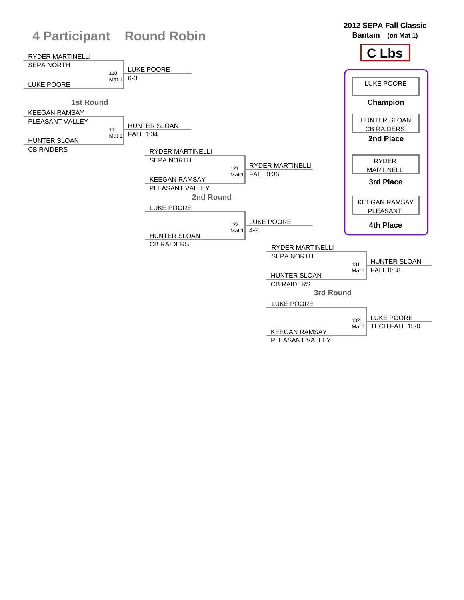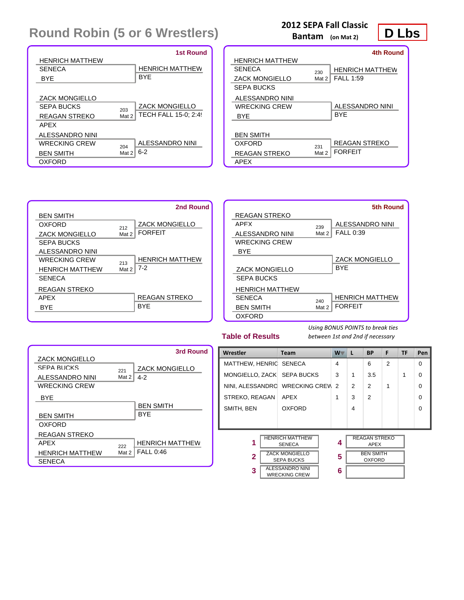|                        |       | <b>1st Round</b>            |
|------------------------|-------|-----------------------------|
| <b>HENRICH MATTHEW</b> |       |                             |
| <b>SENECA</b>          |       | <b>HENRICH MATTHEW</b>      |
| <b>BYF</b>             |       | <b>BYF</b>                  |
|                        |       |                             |
| <b>ZACK MONGIELLO</b>  |       |                             |
| SEPA BLICKS            | 203   | <b>ZACK MONGIELLO</b>       |
| REAGAN STREKO          | Mat 2 | <b>TECH FALL 15-0: 2:49</b> |
| APFX                   |       |                             |
| ALESSANDRO NINI        |       |                             |
| WRECKING CREW          | 204   | ALESSANDRO NINI             |
| <b>BEN SMITH</b>       | Mat 2 | $6 - 2$                     |
| OXFORD                 |       |                             |

### **2012 SEPA Fall Classic**

**Bantam (on Mat 2)**

|                      |       | 4th Round              |
|----------------------|-------|------------------------|
| HENRICH MATTHEW      |       |                        |
| SENECA               | 230   | <b>HENRICH MATTHEW</b> |
| ZACK MONGIELLO       | Mat 2 | <b>FALL 1:59</b>       |
| SEPA BUCKS           |       |                        |
| ALESSANDRO NINI      |       |                        |
| WRECKING CREW        |       | ALESSANDRO NINI        |
| <b>BYF</b>           |       | <b>BYF</b>             |
|                      |       |                        |
| <b>BEN SMITH</b>     |       |                        |
| OXEORD               | 231   | REAGAN STREKO          |
| <b>REAGAN STREKO</b> | Mat 2 | <b>FORFFIT</b>         |
| APEX                 |       |                        |



|                        |       | 5th Round              |
|------------------------|-------|------------------------|
| REAGAN STREKO          |       |                        |
| APFX                   | 239   | ALESSANDRO NINI        |
| ALESSANDRO NINI        | Mat 2 | <b>FALL 0:39</b>       |
| <b>WRECKING CREW</b>   |       |                        |
| <b>BYF</b>             |       |                        |
|                        |       | <b>ZACK MONGIELLO</b>  |
| <b>ZACK MONGIELLO</b>  |       | <b>BYF</b>             |
| <b>SEPA BUCKS</b>      |       |                        |
| <b>HENRICH MATTHEW</b> |       |                        |
| <b>SENECA</b>          | 240   | <b>HENRICH MATTHEW</b> |
| <b>BEN SMITH</b>       | Mat 2 | <b>FORFEIT</b>         |
| <b>OXFORD</b>          |       |                        |

#### **Table of Results**

*Using BONUS POINTS to break ties between 1st and 2nd if necessary*

|                        |       | 3rd Round              |
|------------------------|-------|------------------------|
| <b>ZACK MONGIELLO</b>  |       |                        |
| SEPA BUCKS             | 221   | <b>ZACK MONGIELLO</b>  |
| ALESSANDRO NINI        | Mat 2 | $4 - 2$                |
| <b>WRECKING CREW</b>   |       |                        |
| <b>BYE</b>             |       |                        |
|                        |       | <b>BEN SMITH</b>       |
| <b>BEN SMITH</b>       |       | <b>BYF</b>             |
| OXFORD                 |       |                        |
| <b>REAGAN STREKO</b>   |       |                        |
| APFX                   | 222   | <b>HENRICH MATTHEW</b> |
| <b>HENRICH MATTHEW</b> | Mat 2 | <b>FALL 0:46</b>       |
| <b>SENECA</b>          |       |                        |

| Wrestler                                                              | <b>Team</b>                             | $W^-$          | L | <b>BP</b>                         | F              | <b>TF</b> | Pen      |
|-----------------------------------------------------------------------|-----------------------------------------|----------------|---|-----------------------------------|----------------|-----------|----------|
| MATTHEW, HENRIC SENECA                                                |                                         | $\overline{4}$ |   | 6                                 | $\mathfrak{p}$ |           | $\Omega$ |
| MONGIELLO, ZACK SEPA BUCKS                                            |                                         | 3              | 1 | 3.5                               |                | 1         | $\Omega$ |
| NINI, ALESSANDRO WRECKING CREW                                        |                                         | $\mathcal{P}$  | 2 | 2                                 | 1              |           | $\Omega$ |
| STREKO, REAGAN<br><b>APEX</b>                                         |                                         | 1              | 3 | $\mathfrak{p}$                    |                |           | $\Omega$ |
| SMITH, BEN                                                            | <b>OXFORD</b>                           |                | 4 |                                   |                |           | $\Omega$ |
|                                                                       |                                         |                |   |                                   |                |           |          |
| 1                                                                     | <b>HENRICH MATTHEW</b><br><b>SENECA</b> | 4              |   | <b>REAGAN STREKO</b><br>APEX      |                |           |          |
| <b>ZACK MONGIELLO</b><br>$\overline{\mathbf{2}}$<br><b>SEPA BUCKS</b> |                                         | 5              |   | <b>BEN SMITH</b><br><b>OXFORD</b> |                |           |          |
| <b>ALESSANDRO NINI</b><br>3<br><b>WRECKING CREW</b>                   |                                         | 6              |   |                                   |                |           |          |

### **D Lbs**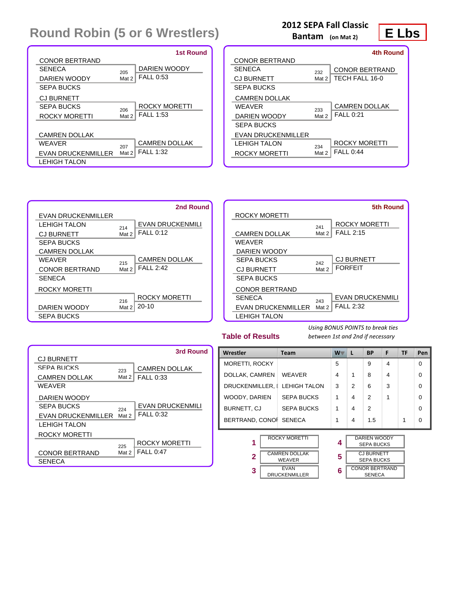|                           |       | 1st Round            |
|---------------------------|-------|----------------------|
| <b>CONOR BERTRAND</b>     |       |                      |
| <b>SENECA</b>             | 205   | DARIEN WOODY         |
| DARIEN WOODY              | Mat 2 | <b>FALL 0:53</b>     |
| <b>SEPA BUCKS</b>         |       |                      |
| <b>CJ BURNETT</b>         |       |                      |
| SEPA BLICKS               | 206   | ROCKY MORETTI        |
| <b>ROCKY MORETTI</b>      | Mat 2 | <b>FALL 1:53</b>     |
|                           |       |                      |
| <b>CAMREN DOLLAK</b>      |       |                      |
| <b>WEAVER</b>             | 207   | <b>CAMREN DOLLAK</b> |
| <b>EVAN DRUCKENMILLER</b> | Mat 2 | <b>FALL 1:32</b>     |
| LEHIGH TALON              |       |                      |

### **2012 SEPA Fall Classic**

**Bantam (on Mat 2)**

**E Lbs**

|                       |       | 4th Round             |
|-----------------------|-------|-----------------------|
| <b>CONOR BERTRAND</b> |       |                       |
| SENECA                | 232   | <b>CONOR BERTRAND</b> |
| <b>CJ BURNETT</b>     | Mat 2 | TECH FALL 16-0        |
| <b>SEPA BUCKS</b>     |       |                       |
| <b>CAMREN DOLLAK</b>  |       |                       |
| WFAVFR                | 233   | <b>CAMREN DOLLAK</b>  |
| DARIEN WOODY          | Mat 2 | <b>FALL 0:21</b>      |
| <b>SEPA BUCKS</b>     |       |                       |
| EVAN DRUCKENMILLER    |       |                       |
| I FHIGH TAI ON        | 234   | ROCKY MORETTI         |
| ROCKY MORETTI         | Mat 2 | <b>FALL 0:44</b>      |
|                       |       |                       |



|                           |       | 5th Round               |
|---------------------------|-------|-------------------------|
| ROCKY MORETTI             |       |                         |
|                           | 241   | <b>ROCKY MORETTI</b>    |
| <b>CAMREN DOLLAK</b>      | Mat 2 | <b>FALL 2:15</b>        |
| <b>WFAVFR</b>             |       |                         |
| DARIEN WOODY              |       |                         |
| SEPA BUCKS                | 242   | <b>CJ BURNETT</b>       |
| <b>CJ BURNETT</b>         | Mat 2 | <b>FORFFIT</b>          |
| <b>SEPA BUCKS</b>         |       |                         |
| <b>CONOR BERTRAND</b>     |       |                         |
| <b>SENECA</b>             | 243   | <b>EVAN DRUCKENMILI</b> |
| <b>EVAN DRUCKENMILLER</b> | Mat 2 | <b>FALL 2:32</b>        |
| <b>LEHIGH TALON</b>       |       |                         |

**Table of Results**

*Using BONUS POINTS to break ties between 1st and 2nd if necessary*

|                       |       | 3rd Round               |
|-----------------------|-------|-------------------------|
| <b>CJ BURNETT</b>     |       |                         |
| SEPA BLICKS           | 223   | <b>CAMREN DOLLAK</b>    |
| <b>CAMREN DOLLAK</b>  | Mat 2 | <b>FALL 0:33</b>        |
| WFAVFR                |       |                         |
| DARIEN WOODY          |       |                         |
| SEPA BUCKS            | 224   | <b>EVAN DRUCKENMILI</b> |
| EVAN DRUCKENMILLER    | Mat 2 | <b>FALL 0:32</b>        |
| LEHIGH TALON          |       |                         |
| <b>ROCKY MORETTI</b>  |       |                         |
|                       | 225   | <b>ROCKY MORETTI</b>    |
| <b>CONOR BERTRAND</b> | Mat 2 | <b>FALL 0:47</b>        |
| <b>SENECA</b>         |       |                         |

| Wrestler               | <b>Team</b>                           | $W^-$ | L             | <b>BP</b>                                | F              | TF | Pen      |
|------------------------|---------------------------------------|-------|---------------|------------------------------------------|----------------|----|----------|
| <b>MORETTI, ROCKY</b>  |                                       | 5     |               | 9                                        | $\overline{4}$ |    | $\Omega$ |
| DOLLAK, CAMREN         | <b>WEAVER</b>                         | 4     | 1             | 8                                        | 4              |    | $\Omega$ |
|                        | DRUCKENMILLER, I LEHIGH TALON         | 3     | $\mathcal{P}$ | 6                                        | 3              |    | $\Omega$ |
| WOODY, DARIEN          | <b>SEPA BUCKS</b>                     | 1     | 4             | $\mathfrak{p}$                           | 1              |    | $\Omega$ |
| BURNETT, CJ            | <b>SEPA BUCKS</b>                     | 1     | 4             | $\mathfrak{p}$                           |                |    | $\Omega$ |
| BERTRAND, CONOI SENECA |                                       | 1     | 4             | 1.5                                      |                | 1  | $\Omega$ |
| 1                      | <b>ROCKY MORETTI</b>                  | 4     |               | <b>DARIEN WOODY</b><br><b>SEPA BUCKS</b> |                |    |          |
| $\overline{2}$         | <b>CAMREN DOLLAK</b><br><b>WEAVER</b> | 5     |               | <b>CJ BURNETT</b><br><b>SEPA BUCKS</b>   |                |    |          |
| 3                      | <b>EVAN</b><br><b>DRUCKENMILLER</b>   | 6     |               | <b>CONOR BERTRAND</b><br><b>SENECA</b>   |                |    |          |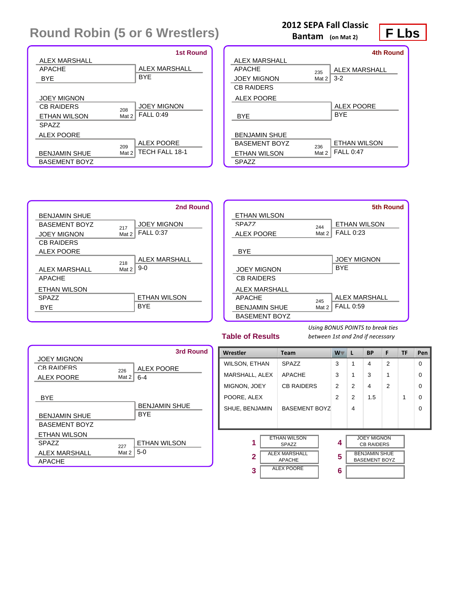|                      | <b>1st Round</b>               |
|----------------------|--------------------------------|
| ALEX MARSHALL        |                                |
| <b>APACHE</b>        | <b>ALEX MARSHALL</b>           |
| <b>BYE</b>           | <b>BYE</b>                     |
|                      |                                |
| <b>JOEY MIGNON</b>   |                                |
| CB RAIDERS           | <b>JOEY MIGNON</b><br>208      |
| <b>ETHAN WILSON</b>  | <b>FALL 0:49</b><br>Mat 2      |
| SPA77                |                                |
| <b>ALEX POORE</b>    |                                |
|                      | <b>ALEX POORE</b><br>209       |
| <b>BENJAMIN SHUE</b> | <b>TECH FALL 18-1</b><br>Mat 2 |
| <b>BASEMENT BOYZ</b> |                                |

### **2012 SEPA Fall Classic**

**Bantam (on Mat 2)**

**F Lbs 4th Round**

| ALEX MARSHALL        |       |                     |
|----------------------|-------|---------------------|
| <b>APACHE</b>        | 235   | ALEX MARSHALL       |
| <b>JOEY MIGNON</b>   | Mat 2 | $3-2$               |
| <b>CB RAIDERS</b>    |       |                     |
| <b>ALEX POORE</b>    |       |                     |
|                      |       | ALEX POORE          |
| <b>BYF</b>           |       | <b>BYF</b>          |
|                      |       |                     |
| <b>BENJAMIN SHUE</b> |       |                     |
| <b>RASEMENT ROYZ</b> | 236   | <b>ETHAN WILSON</b> |
| ETHAN WILSON         | Mat 2 | FAI 1 0:47          |
| <b>SPAZZ</b>         |       |                     |
|                      |       |                     |



|                      |       | <b>5th Round</b>    |
|----------------------|-------|---------------------|
| ETHAN WILSON         |       |                     |
| SPA77                | 244   | <b>ETHAN WILSON</b> |
| <b>ALEX POORE</b>    | Mat 2 | <b>FALL 0:23</b>    |
|                      |       |                     |
| <b>BYE</b>           |       |                     |
|                      |       | <b>JOEY MIGNON</b>  |
| <b>JOEY MIGNON</b>   |       | <b>BYF</b>          |
| <b>CB RAIDERS</b>    |       |                     |
| <b>ALEX MARSHALL</b> |       |                     |
| <b>APACHE</b>        | 245   | ALEX MARSHALL       |
| <b>BENJAMIN SHUE</b> | Mat 2 | <b>FALL 0:59</b>    |
| <b>BASEMENT BOYZ</b> |       |                     |

#### **Table of Results**

|                      |       | 3rd Round            |
|----------------------|-------|----------------------|
| <b>JOEY MIGNON</b>   |       |                      |
| CR RAIDERS           | 226   | <b>ALEX POORE</b>    |
| <b>ALEX POORE</b>    | Mat 2 | $6 - 4$              |
|                      |       |                      |
| <b>BYF</b>           |       |                      |
|                      |       | <b>BENJAMIN SHUE</b> |
| <b>BENJAMIN SHUE</b> |       | <b>BYF</b>           |
| <b>BASEMENT BOYZ</b> |       |                      |
| <b>ETHAN WILSON</b>  |       |                      |
| SPA77                | 227   | <b>ETHAN WILSON</b>  |
| ALEX MARSHALL        | Mat 2 | $5-0$                |
| <b>APACHE</b>        |       |                      |

| בווטפסטו וויס שונו<br>between ist und zhu if helessury |                                                                                            |                |                |                                                                                         |                |    |          |
|--------------------------------------------------------|--------------------------------------------------------------------------------------------|----------------|----------------|-----------------------------------------------------------------------------------------|----------------|----|----------|
| Wrestler                                               | <b>Team</b>                                                                                | $W^-$          | L              | <b>BP</b>                                                                               | F              | TF | Pen      |
| <b>WILSON, ETHAN</b>                                   | <b>SPAZZ</b>                                                                               | 3              | 1              | 4                                                                                       | $\mathfrak{p}$ |    | $\Omega$ |
| MARSHALL, ALEX                                         | <b>APACHE</b>                                                                              | 3              | 1              | 3                                                                                       | 1              |    | $\Omega$ |
| MIGNON, JOEY                                           | <b>CB RAIDERS</b>                                                                          | $\overline{2}$ | $\overline{2}$ | $\overline{4}$                                                                          | $\overline{2}$ |    | $\Omega$ |
| POORE, ALEX                                            |                                                                                            | $\mathcal{P}$  | $\mathfrak{p}$ | 1.5                                                                                     |                | 1  | $\Omega$ |
| SHUE, BENJAMIN                                         | <b>BASEMENT BOYZ</b>                                                                       |                | 4              |                                                                                         |                |    | $\Omega$ |
|                                                        |                                                                                            |                |                |                                                                                         |                |    |          |
| 1<br>$\mathbf{2}$<br>3                                 | <b>ETHAN WILSON</b><br>SPAZZ<br><b>ALEX MARSHALL</b><br><b>APACHE</b><br><b>ALEX POORE</b> | 4<br>5<br>6    |                | <b>JOEY MIGNON</b><br><b>CB RAIDERS</b><br><b>BENJAMIN SHUE</b><br><b>BASEMENT BOYZ</b> |                |    |          |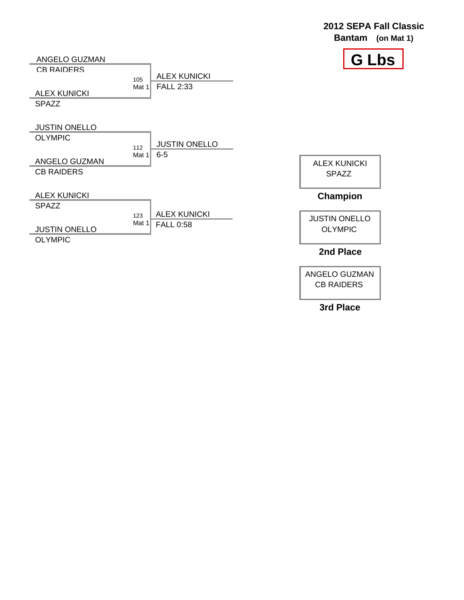|                      |                                    | ZVIZ ULI A I UN VIUSS<br><b>Bantam</b><br>(on Mat 1) |
|----------------------|------------------------------------|------------------------------------------------------|
| ANGELO GUZMAN        |                                    | <b>G Lbs</b>                                         |
| <b>CB RAIDERS</b>    | <b>ALEX KUNICKI</b>                |                                                      |
|                      | 105<br><b>FALL 2:33</b><br>Mat $1$ |                                                      |
| <b>ALEX KUNICKI</b>  |                                    |                                                      |
| <b>SPAZZ</b>         |                                    |                                                      |
|                      |                                    |                                                      |
| <b>JUSTIN ONELLO</b> |                                    |                                                      |
| <b>OLYMPIC</b>       | <b>JUSTIN ONELLO</b>               |                                                      |
|                      | 112<br>$6-5$<br>Mat 1              |                                                      |
| ANGELO GUZMAN        |                                    | <b>ALEX KUNICKI</b>                                  |
| <b>CB RAIDERS</b>    |                                    | <b>SPAZZ</b>                                         |
|                      |                                    |                                                      |
| <b>ALEX KUNICKI</b>  |                                    | Champion                                             |
| <b>SPAZZ</b>         |                                    |                                                      |
|                      | <b>ALEX KUNICKI</b><br>123         | <b>JUSTIN ONELLO</b>                                 |
| <b>JUSTIN ONELLO</b> | Mat 1<br><b>FALL 0:58</b>          | <b>OLYMPIC</b>                                       |
| <b>OLYMPIC</b>       |                                    |                                                      |
|                      |                                    | 2nd Place                                            |

ANGELO GUZMAN CB RAIDERS

**2012 SEPA Fall Classic**

**3rd Place**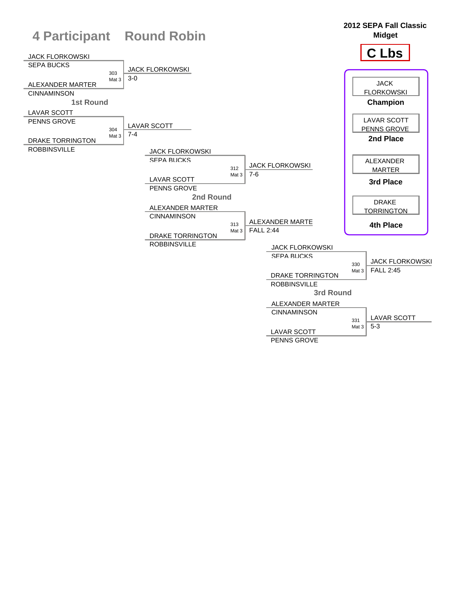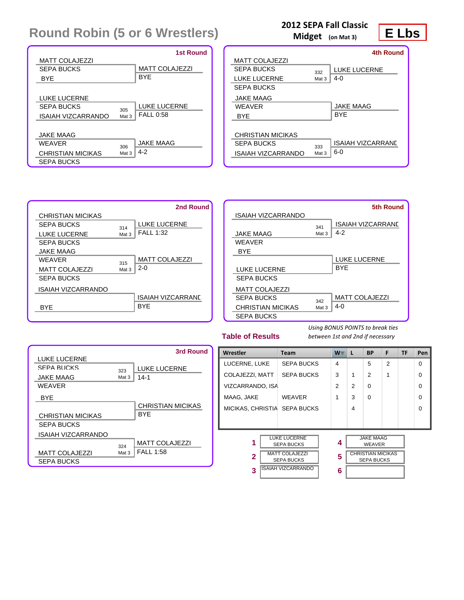|                          |       | <b>1st Round</b>      |
|--------------------------|-------|-----------------------|
| <b>MATT COLAJEZZI</b>    |       |                       |
| SEPA BUCKS               |       | <b>MATT COLAJEZZI</b> |
| <b>BYF</b>               |       | <b>BYF</b>            |
|                          |       |                       |
| LUKE LUCERNE             |       |                       |
| SEPA BLICKS              | 305   | <b>LUKE LUCERNE</b>   |
| ISAIAH VIZCARRANDO       | Mat 3 | <b>FALL 0:58</b>      |
|                          |       |                       |
| JAKE MAAG                |       |                       |
| <b>WEAVER</b>            | 306   | <b>JAKE MAAG</b>      |
| <b>CHRISTIAN MICIKAS</b> | Mat 3 | $4 - 2$               |
| <b>SEPA BUCKS</b>        |       |                       |

#### **2012 SEPA Fall Classic**

**Midget (on Mat 3)**

### **E Lbs**

|                    |                  | 4th Round                |
|--------------------|------------------|--------------------------|
| MATT COLAJEZZI     |                  |                          |
| SEPA BLICKS        | 332              | <b>LUKE LUCERNE</b>      |
| LUKE LUCERNE       | Mat <sub>3</sub> | $4-0$                    |
| <b>SEPA BUCKS</b>  |                  |                          |
| <b>JAKE MAAG</b>   |                  |                          |
| <b>WEAVER</b>      |                  | <b>JAKE MAAG</b>         |
| <b>BYF</b>         |                  | <b>BYF</b>               |
|                    |                  |                          |
| CHRISTIAN MICIKAS  |                  |                          |
| SEPA BLICKS        | 333              | <b>ISAIAH VIZCARRANE</b> |
| ISAIAH VIZCARRANDO | Mat 3            | $6-0$                    |
|                    |                  |                          |



|                          |       | 5th Round                |
|--------------------------|-------|--------------------------|
| ISAIAH VIZCARRANDO       |       |                          |
|                          | 341   | <b>ISAIAH VIZCARRANE</b> |
| <b>JAKE MAAG</b>         | Mat 3 | $4-2$                    |
| WFAVFR                   |       |                          |
| <b>BYF</b>               |       |                          |
|                          |       | <b>LUKE LUCERNE</b>      |
| <b>LUKE LUCERNE</b>      |       | <b>BYF</b>               |
| <b>SEPA BUCKS</b>        |       |                          |
| <b>MATT COLAJEZZI</b>    |       |                          |
| SEPA BUCKS               | 342   | <b>MATT COLAJEZZI</b>    |
| <b>CHRISTIAN MICIKAS</b> | Mat 3 | 4-0                      |
| <b>SEPA BUCKS</b>        |       |                          |

#### **Table of Results**

|                          |       | 3rd Round                |
|--------------------------|-------|--------------------------|
| <b>LUKE LUCERNE</b>      |       |                          |
| SEPA BUCKS               | 323   | <b>LUKE LUCERNE</b>      |
| JAKE MAAG                | Mat 3 | 14-1                     |
| <b>WFAVFR</b>            |       |                          |
| <b>BYF</b>               |       |                          |
|                          |       | <b>CHRISTIAN MICIKAS</b> |
| <b>CHRISTIAN MICIKAS</b> |       | BYF                      |
| SEPA BUCKS               |       |                          |
| ISAIAH VIZCARRANDO       |       |                          |
|                          | 324   | <b>MATT COLAJEZZI</b>    |
| <b>MATT COLAJEZZI</b>    | Mat 3 | <b>FALL 1:58</b>         |
| <b>SEPA BUCKS</b>        |       |                          |

| Wrestler         |  | <b>Team</b>                                |  | W | ш. | <b>BP</b>                                     | F              | <b>TF</b> | Pen      |
|------------------|--|--------------------------------------------|--|---|----|-----------------------------------------------|----------------|-----------|----------|
| LUCERNE, LUKE    |  | <b>SEPA BUCKS</b>                          |  | 4 |    | 5                                             | $\overline{2}$ |           | $\Omega$ |
| COLAJEZZI, MATT  |  | <b>SEPA BUCKS</b>                          |  | 3 | 1  | $\mathfrak{p}$                                | 1              |           | $\Omega$ |
| VIZCARRANDO, ISA |  |                                            |  | 2 | 2  | $\Omega$                                      |                |           | $\Omega$ |
| MAAG, JAKE       |  | <b>WEAVER</b>                              |  | 1 | 3  | $\Omega$                                      |                |           | $\Omega$ |
|                  |  | MICIKAS, CHRISTIA SEPA BUCKS               |  |   | 4  |                                               |                |           | $\Omega$ |
|                  |  |                                            |  |   |    |                                               |                |           |          |
|                  |  |                                            |  |   |    |                                               |                |           |          |
| 1                |  | <b>LUKE LUCERNE</b><br><b>SEPA BUCKS</b>   |  | 4 |    | <b>JAKE MAAG</b><br><b>WEAVER</b>             |                |           |          |
| $\overline{2}$   |  | <b>MATT COLAJEZZI</b><br><b>SEPA BUCKS</b> |  | 5 |    | <b>CHRISTIAN MICIKAS</b><br><b>SEPA BUCKS</b> |                |           |          |
| 3                |  | <b>ISAIAH VIZCARRANDO</b>                  |  | 6 |    |                                               |                |           |          |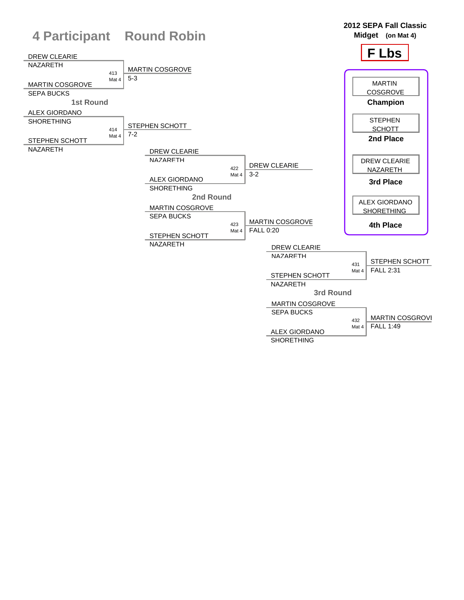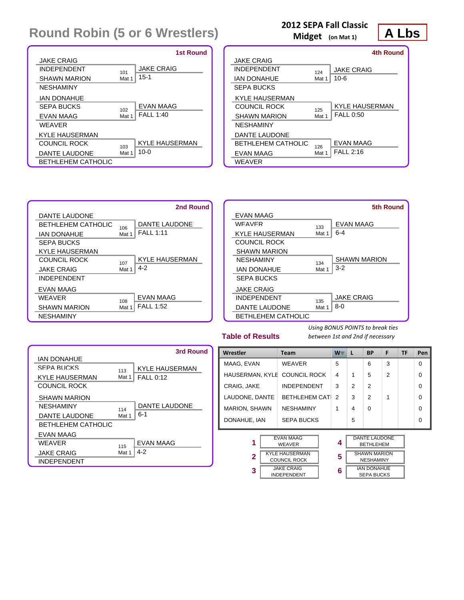|                           |       | 1st Round             |
|---------------------------|-------|-----------------------|
| <b>JAKE CRAIG</b>         |       |                       |
| <b>INDEPENDENT</b>        | 101   | <b>JAKE CRAIG</b>     |
| <b>SHAWN MARION</b>       | Mat 1 | $15 - 1$              |
| <b>NESHAMINY</b>          |       |                       |
| IAN DONAHUE               |       |                       |
| SEPA BLICKS               | 102   | EVAN MAAG             |
| EVAN MAAG                 | Mat 1 | <b>FALL 1:40</b>      |
| <b>WEAVER</b>             |       |                       |
| KYLE HAUSERMAN            |       |                       |
| COLINCIL ROCK             | 103   | <b>KYLE HAUSERMAN</b> |
| DANTE LAUDONE             | Mat 1 | $10 - 0$              |
| <b>BETHLEHEM CATHOLIC</b> |       |                       |

### **2012 SEPA Fall Classic**

**Midget (on Mat 1)**

### **A Lbs**

|                            |       | <b>4th Round</b>      |
|----------------------------|-------|-----------------------|
| <b>JAKE CRAIG</b>          |       |                       |
| <b>INDEPENDENT</b>         | 124   | <b>JAKE CRAIG</b>     |
| <b>IAN DONAHUE</b>         | Mat 1 | $10 - 6$              |
| <b>SEPA BUCKS</b>          |       |                       |
| KYLE HAUSERMAN             |       |                       |
| COLINCIL ROCK              | 125   | <b>KYLE HAUSERMAN</b> |
| <b>SHAWN MARION</b>        | Mat 1 | <b>FALL 0:50</b>      |
| <b>NESHAMINY</b>           |       |                       |
| DANTE LAUDONE              |       |                       |
| <b>RETHI FHEM CATHOLIC</b> | 126   | <b>EVAN MAAG</b>      |
| EVAN MAAG                  | Mat 1 | FAI 1 2:16            |
| WEAVER                     |       |                       |





#### **Table of Results**

|                           |       | 3rd Round             |
|---------------------------|-------|-----------------------|
| <b>IAN DONAHUE</b>        |       |                       |
| SEPA BLICKS               | 113   | <b>KYLE HAUSERMAN</b> |
| <b>KYLE HAUSERMAN</b>     | Mat 1 | <b>FALL 0:12</b>      |
| COUNCIL ROCK              |       |                       |
| <b>SHAWN MARION</b>       |       |                       |
| <b>NESHAMINY</b>          | 114   | <b>DANTE LAUDONE</b>  |
| DANTE LAUDONE             | Mat 1 | $6 - 1$               |
| <b>BETHLEHEM CATHOLIC</b> |       |                       |
| EVAN MAAG                 |       |                       |
| WFAVFR                    | 115   | <b>EVAN MAAG</b>      |
| JAKE CRAIG                | Mat 1 | $4-2$                 |
| <b>INDEPENDENT</b>        |       |                       |

| Wrestler       |                                              | Team                              |  | $W^-$         | L                                       | <b>BP</b>                                | F | <b>TF</b> | Pen      |
|----------------|----------------------------------------------|-----------------------------------|--|---------------|-----------------------------------------|------------------------------------------|---|-----------|----------|
| MAAG, EVAN     |                                              | <b>WEAVER</b>                     |  | 5             |                                         | 6                                        | 3 |           | $\Omega$ |
|                |                                              | HAUSERMAN, KYLE COUNCIL ROCK      |  | 4             | 1                                       | 5                                        | 2 |           | $\Omega$ |
| CRAIG, JAKE    |                                              | <b>INDEPENDENT</b>                |  | 3             | $\mathfrak{p}$                          | $\overline{2}$                           |   |           | 0        |
| LAUDONE, DANTE |                                              | BETHLEHEM CATH                    |  | $\mathcal{P}$ | 3                                       | $\mathfrak{p}$                           | 1 |           | $\Omega$ |
|                | <b>MARION, SHAWN</b><br><b>NESHAMINY</b>     |                                   |  | 1             | 4                                       | $\Omega$                                 |   |           | $\Omega$ |
| DONAHUE, IAN   |                                              | <b>SEPA BUCKS</b>                 |  |               | 5                                       |                                          |   |           | $\Omega$ |
|                |                                              |                                   |  |               |                                         |                                          |   |           |          |
| 1              |                                              | <b>EVAN MAAG</b><br><b>WEAVER</b> |  | 4             |                                         | <b>DANTE LAUDONE</b><br><b>BETHLEHEM</b> |   |           |          |
| $\mathbf{2}$   | <b>KYLE HAUSERMAN</b><br><b>COUNCIL ROCK</b> |                                   |  | 5             | <b>SHAWN MARION</b><br><b>NESHAMINY</b> |                                          |   |           |          |
| 3              | <b>JAKE CRAIG</b><br><b>INDEPENDENT</b>      |                                   |  | 6             |                                         | <b>IAN DONAHUE</b><br><b>SEPA BUCKS</b>  |   |           |          |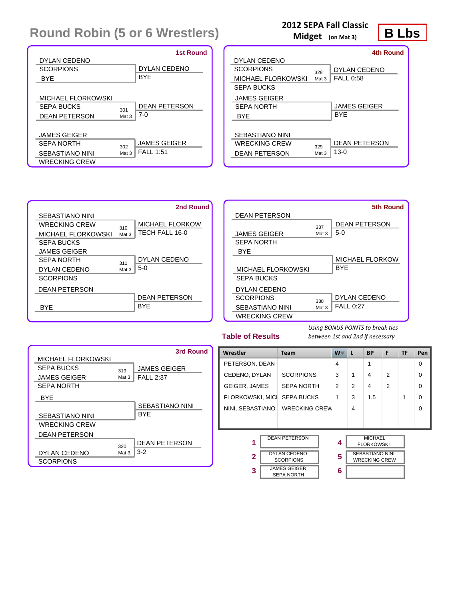|                      |       | <b>1st Round</b>     |
|----------------------|-------|----------------------|
| DYLAN CEDENO         |       |                      |
| <b>SCORPIONS</b>     |       | <b>DYLAN CEDENO</b>  |
| <b>BYF</b>           |       | <b>BYF</b>           |
|                      |       |                      |
| MICHAEL FLORKOWSKI   |       |                      |
| SEPA BUCKS           | 301   | <b>DEAN PETERSON</b> |
| <b>DEAN PETERSON</b> | Mat 3 | $7-0$                |
|                      |       |                      |
| <b>JAMES GEIGER</b>  |       |                      |
| SEPA NORTH           | 302   | <b>JAMES GEIGER</b>  |
| SEBASTIANO NINI      | Mat 3 | <b>FALL 1:51</b>     |
| <b>WRECKING CREW</b> |       |                      |

### **2012 SEPA Fall Classic**

**Midget (on Mat 3)**

**B Lbs**

|                      |       | <b>4th Round</b>     |
|----------------------|-------|----------------------|
| DYLAN CEDENO         |       |                      |
| <b>SCORPIONS</b>     | 328   | DYLAN CEDENO         |
| MICHAEL FLORKOWSKI   | Mat 3 | <b>FALL 0:58</b>     |
| <b>SEPA BUCKS</b>    |       |                      |
| <b>JAMES GEIGER</b>  |       |                      |
| SEPA NORTH           |       | <b>JAMES GEIGER</b>  |
| <b>BYF</b>           |       | <b>BYF</b>           |
|                      |       |                      |
| SEBASTIANO NINI      |       |                      |
| WRECKING CREW        | 329   | <b>DEAN PETERSON</b> |
| <b>DEAN PETERSON</b> | Mat 3 | $13-0$               |
|                      |       |                      |





#### **Table of Results**

|                           |       | 3rd Round              |
|---------------------------|-------|------------------------|
| <b>MICHAEL FLORKOWSKI</b> |       |                        |
| SEPA BUCKS                | 319   | <b>JAMES GEIGER</b>    |
| <b>JAMES GEIGER</b>       | Mat 3 | <b>FALL 2:37</b>       |
| <b>SEPA NORTH</b>         |       |                        |
| <b>BYF</b>                |       |                        |
|                           |       | <b>SEBASTIANO NINI</b> |
| SEBASTIANO NINI           |       | <b>BYF</b>             |
| <b>WRECKING CREW</b>      |       |                        |
| <b>DEAN PETERSON</b>      |       |                        |
|                           | 320   | <b>DEAN PETERSON</b>   |
| DYLAN CEDENO              | Mat 3 | $3-2$                  |
| <b>SCORPIONS</b>          |       |                        |

| Wrestler                |                     | <b>Team</b>          |  | $W^-$ | <b>L</b> | <b>BP</b>              | F              | <b>TF</b> | Pen |
|-------------------------|---------------------|----------------------|--|-------|----------|------------------------|----------------|-----------|-----|
| PETERSON, DEAN          |                     |                      |  | 4     |          | 1                      |                |           | 0   |
| CEDENO, DYLAN           |                     | <b>SCORPIONS</b>     |  | 3     | 1        | 4                      | 2              |           | 0   |
| <b>GEIGER, JAMES</b>    |                     | <b>SEPA NORTH</b>    |  | 2     | 2        | 4                      | $\overline{2}$ |           | O   |
| <b>FLORKOWSKI, MICH</b> |                     | <b>SEPA BUCKS</b>    |  | 1     | 3        | 1.5                    |                | 1         | O   |
| NINI, SEBASTIANO        |                     | <b>WRECKING CREW</b> |  |       | 4        |                        |                |           | O   |
|                         |                     |                      |  |       |          |                        |                |           |     |
|                         |                     | <b>DEAN PETERSON</b> |  |       |          | <b>MICHAEL</b>         |                |           |     |
| 1                       |                     |                      |  | 4     |          | <b>FLORKOWSKI</b>      |                |           |     |
| 2                       | <b>DYLAN CEDENO</b> |                      |  | 5     |          | <b>SEBASTIANO NINI</b> |                |           |     |
|                         |                     | <b>SCORPIONS</b>     |  |       |          | <b>WRECKING CREW</b>   |                |           |     |
| 3                       |                     | <b>JAMES GEIGER</b>  |  | 6     |          |                        |                |           |     |
|                         | <b>SEPA NORTH</b>   |                      |  |       |          |                        |                |           |     |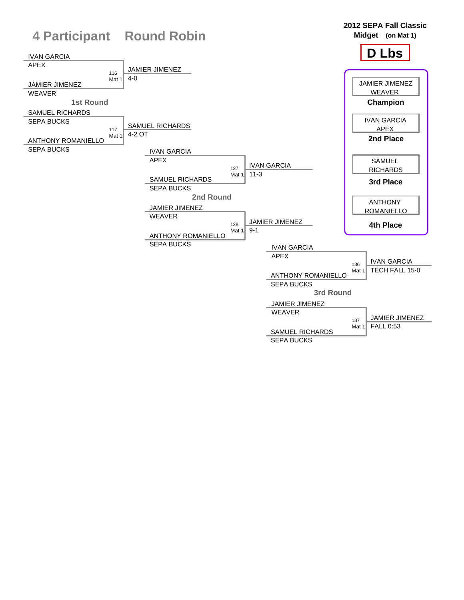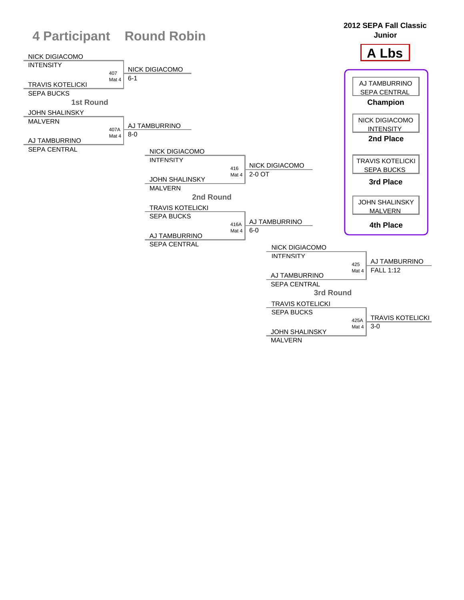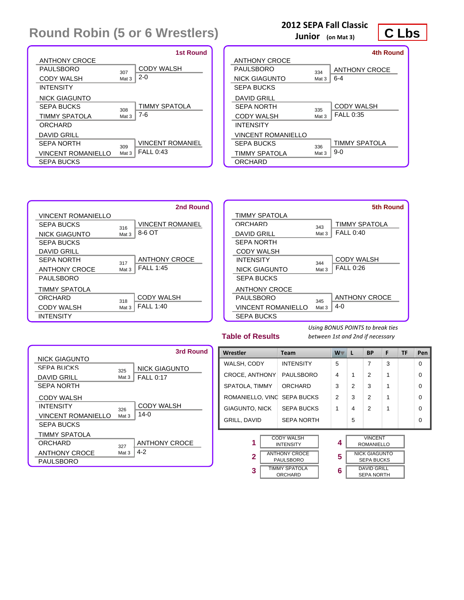|                           |       | 1st Round               |
|---------------------------|-------|-------------------------|
| <b>ANTHONY CROCE</b>      |       |                         |
| PALIL SRORO               | 307   | <b>CODY WALSH</b>       |
| CODY WALSH                | Mat 3 | $2 - 0$                 |
| <b>INTENSITY</b>          |       |                         |
| NICK GIAGUNTO             |       |                         |
| SEPA BLICKS               | 308   | <b>TIMMY SPATOLA</b>    |
| TIMMY SPATOLA             | Mat 3 | $7-6$                   |
| ORCHARD                   |       |                         |
| <b>DAVID GRILL</b>        |       |                         |
| SEPA NORTH                | 309   | <b>VINCENT ROMANIEL</b> |
| <b>VINCENT ROMANIELLO</b> | Mat 3 | <b>FALL 0:43</b>        |
| <b>SEPA BUCKS</b>         |       |                         |

### **2012 SEPA Fall Classic**

**Junior (on Mat 3)**

## **C Lbs**

|                           |                  | <b>4th Round</b>     |
|---------------------------|------------------|----------------------|
| <b>ANTHONY CROCE</b>      |                  |                      |
| PALIL SRORO               | 334              | <b>ANTHONY CROCE</b> |
| NICK GIAGUNTO             | Mat 3            | $6 - 4$              |
| <b>SEPA BUCKS</b>         |                  |                      |
| DAVID GRILL               |                  |                      |
| SEPA NORTH                | 335              | CODY WALSH           |
| <b>CODY WALSH</b>         | Mat 3            | FALL 0:35            |
| <b>INTFNSITY</b>          |                  |                      |
| <b>VINCENT ROMANIELLO</b> |                  |                      |
| SEPA BLICKS               | 336              | <b>TIMMY SPATOLA</b> |
| TIMMY SPATOLA             | Mat <sub>3</sub> | $9-0$                |
| ORCHARD                   |                  |                      |

|                           |       | 2nd Round               |
|---------------------------|-------|-------------------------|
| <b>VINCENT ROMANIELLO</b> |       |                         |
| SEPA BUCKS                | 316   | <b>VINCENT ROMANIEL</b> |
| <b>NICK GIAGUNTO</b>      | Mat 3 | 8-6 OT                  |
| <b>SEPA BUCKS</b>         |       |                         |
| DAVID GRILL               |       |                         |
| SEPA NORTH                | 317   | <b>ANTHONY CROCE</b>    |
| <b>ANTHONY CROCE</b>      | Mat 3 | <b>FALL 1:45</b>        |
| <b>PAUL SBORO</b>         |       |                         |
| TIMMY SPATOLA             |       |                         |
| ORCHARD                   | 318   | <b>CODY WALSH</b>       |
| <b>CODY WALSH</b>         | Mat 3 | <b>FALL 1:40</b>        |
| <b>INTENSITY</b>          |       |                         |

|                           |       | 5th Round            |
|---------------------------|-------|----------------------|
| TIMMY SPATOLA             |       |                      |
| ORCHARD                   | 343   | <b>TIMMY SPATOLA</b> |
| <b>DAVID GRILL</b>        | Mat 3 | <b>FALL 0:40</b>     |
| <b>SEPA NORTH</b>         |       |                      |
| <b>CODY WALSH</b>         |       |                      |
| <b>INTENSITY</b>          | 344   | <b>CODY WALSH</b>    |
| <b>NICK GIAGUNTO</b>      | Mat 3 | FAIL 0:26            |
| SEPA BUCKS                |       |                      |
| <b>ANTHONY CROCE</b>      |       |                      |
| <b>PAUL SBORO</b>         | 345   | <b>ANTHONY CROCE</b> |
| <b>VINCENT ROMANIELLO</b> | Mat 3 | 4-0                  |
| <b>SEPA BUCKS</b>         |       |                      |

#### **Table of Results**

|                           |       | 3rd Round            |
|---------------------------|-------|----------------------|
| <b>NICK GIAGUNTO</b>      |       |                      |
| SEPA BLICKS               | 325   | <b>NICK GIAGUNTO</b> |
| <b>DAVID GRILL</b>        | Mat 3 | <b>FALL 0:17</b>     |
| SEPA NORTH                |       |                      |
| CODY WALSH                |       |                      |
| <b>INTENSITY</b>          | 326   | CODY WALSH           |
| <b>VINCENT ROMANIELLO</b> | Mat 3 | 14-0                 |
| SEPA BUCKS                |       |                      |
| TIMMY SPATOLA             |       |                      |
| ORCHARD                   | 327   | <b>ANTHONY CROCE</b> |
| <b>ANTHONY CROCE</b>      | Mat 3 | $4 - 2$              |
| PAULSBORO                 |       |                      |

| TADIE UI NESUILS<br>between ist und zhu ij necessary |                                 |                                          |   |       |                                         |                                           |   |    |          |
|------------------------------------------------------|---------------------------------|------------------------------------------|---|-------|-----------------------------------------|-------------------------------------------|---|----|----------|
| Wrestler                                             |                                 | <b>Team</b>                              |   | $W^-$ | $\mathbf{L}$                            | <b>BP</b>                                 | F | TF | Pen      |
| WALSH, CODY                                          |                                 | <b>INTENSITY</b>                         |   | 5     |                                         | 7                                         | 3 |    | $\Omega$ |
| CROCE, ANTHONY                                       |                                 | <b>PAULSBORO</b>                         |   | 4     | 1                                       | $\overline{2}$                            | 1 |    | $\Omega$ |
| SPATOLA, TIMMY                                       |                                 | ORCHARD                                  |   | 3     | 2                                       | 3                                         |   |    | $\Omega$ |
| ROMANIELLO, VINC                                     |                                 | <b>SEPA BUCKS</b>                        |   | 2     | 3                                       | $\mathfrak{p}$                            |   |    | $\Omega$ |
| <b>GIAGUNTO, NICK</b>                                |                                 | <b>SEPA BUCKS</b>                        |   | 1     | 4                                       | $\overline{2}$                            |   |    | $\Omega$ |
| GRILL, DAVID                                         |                                 | <b>SEPA NORTH</b>                        |   |       | 5                                       |                                           |   |    | $\Omega$ |
| <b>CODY WALSH</b><br>1<br><b>INTENSITY</b>           |                                 |                                          |   | 4     |                                         | <b>VINCENT</b><br><b>ROMANIELLO</b>       |   |    |          |
| $\overline{\mathbf{2}}$                              |                                 | <b>ANTHONY CROCE</b><br><b>PAULSBORO</b> |   | 5     |                                         | <b>NICK GIAGUNTO</b><br><b>SEPA BUCKS</b> |   |    |          |
| 3                                                    | TIMMY SPATOLA<br><b>ORCHARD</b> |                                          | 6 |       | <b>DAVID GRILL</b><br><b>SEPA NORTH</b> |                                           |   |    |          |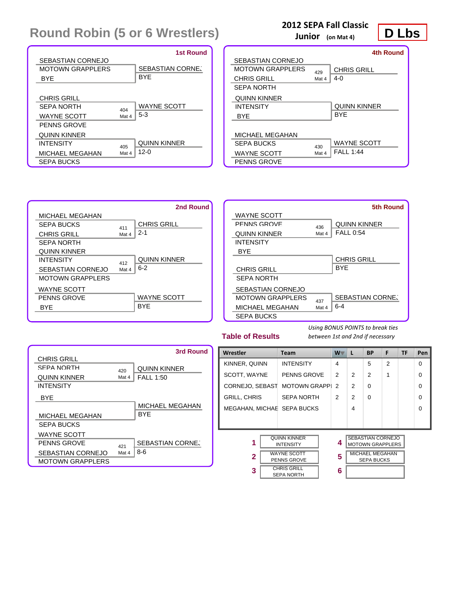|                                        |       | <b>1st Round</b>        |
|----------------------------------------|-------|-------------------------|
| SEBASTIAN CORNEJO<br>MOTOWN GRAPPI FRS |       | <b>SEBASTIAN CORNE.</b> |
| <b>BYF</b>                             |       | <b>BYF</b>              |
|                                        |       |                         |
| <b>CHRIS GRILL</b>                     |       |                         |
| SEPA NORTH                             | 404   | WAYNE SCOTT             |
| <b>WAYNE SCOTT</b>                     | Mat 4 | $5 - 3$                 |
| PENNS GROVE                            |       |                         |
| <b>QUINN KINNER</b>                    |       |                         |
| <b>INTENSITY</b>                       | 405   | <b>QUINN KINNER</b>     |
| MICHAEL MEGAHAN                        | Mat 4 | $12 - 0$                |
| SEPA BUCKS                             |       |                         |

### **2012 SEPA Fall Classic**

**Junior (on Mat 4)**

### **D Lbs**

|                         |       | <b>4th Round</b>    |
|-------------------------|-------|---------------------|
| SEBASTIAN CORNEJO       |       |                     |
| <b>MOTOWN GRAPPLERS</b> | 429   | <b>CHRIS GRILL</b>  |
| <b>CHRIS GRILL</b>      | Mat 4 | $4-0$               |
| <b>SEPA NORTH</b>       |       |                     |
| <b>QUINN KINNER</b>     |       |                     |
| <b>INTENSITY</b>        |       | <b>QUINN KINNER</b> |
| <b>BYF</b>              |       | <b>BYF</b>          |
|                         |       |                     |
| MICHAEL MEGAHAN         |       |                     |
| SEPA BLICKS             | 430   | WAYNE SCOTT         |
| WAYNE SCOTT             | Mat 4 | FAI 1:44            |
| <b>PENNS GROVE</b>      |       |                     |





#### **Table of Results**

|                         |       | 3rd Round               |
|-------------------------|-------|-------------------------|
| <b>CHRIS GRILL</b>      |       |                         |
| SEPA NORTH              | 420   | <b>QUINN KINNER</b>     |
| <b>QUINN KINNER</b>     | Mat 4 | <b>FALL 1:50</b>        |
| <b>INTENSITY</b>        |       |                         |
| <b>BYF</b>              |       |                         |
|                         |       | <b>MICHAEL MEGAHAN</b>  |
| MICHAEL MEGAHAN         |       | <b>BYF</b>              |
| <b>SEPA BUCKS</b>       |       |                         |
| <b>WAYNE SCOTT</b>      |       |                         |
| PENNS GROVE             | 421   | <b>SEBASTIAN CORNE.</b> |
| SEBASTIAN CORNEJO       | Mat 4 | $8-6$                   |
| <b>MOTOWN GRAPPLERS</b> |       |                         |

| Wrestler                                          |  | <b>Team</b>                             |   | $W^-$          | L                                                   | <b>BP</b> | F              | TF | Pen      |
|---------------------------------------------------|--|-----------------------------------------|---|----------------|-----------------------------------------------------|-----------|----------------|----|----------|
| KINNER, QUINN                                     |  | <b>INTENSITY</b>                        |   | 4              |                                                     | 5         | $\overline{2}$ |    | $\Omega$ |
| SCOTT, WAYNE                                      |  | <b>PENNS GROVE</b>                      |   | 2              | $\mathfrak{p}$                                      | 2         | 1              |    | $\Omega$ |
| CORNEJO, SEBAST                                   |  | <b>MOTOWN GRAPPI</b>                    |   | $\mathfrak{p}$ | $\mathfrak{p}$                                      | $\Omega$  |                |    | $\Omega$ |
| <b>GRILL, CHRIS</b>                               |  | <b>SEPA NORTH</b>                       |   | 2              | $\mathfrak{p}$                                      | $\Omega$  |                |    | $\Omega$ |
| MEGAHAN, MICHAE SEPA BUCKS                        |  |                                         |   |                | 4                                                   |           |                |    | $\Omega$ |
|                                                   |  |                                         |   |                |                                                     |           |                |    |          |
|                                                   |  |                                         |   |                |                                                     |           |                |    |          |
| <b>QUINN KINNER</b><br>1<br><b>INTENSITY</b>      |  |                                         | 4 |                | <b>SEBASTIAN CORNEJO</b><br><b>MOTOWN GRAPPLERS</b> |           |                |    |          |
| <b>WAYNE SCOTT</b><br>$\mathbf{2}$<br>PENNS GROVE |  |                                         | 5 |                | <b>MICHAEL MEGAHAN</b><br><b>SEPA BUCKS</b>         |           |                |    |          |
| 3                                                 |  | <b>CHRIS GRILL</b><br><b>SEPA NORTH</b> |   | 6              |                                                     |           |                |    |          |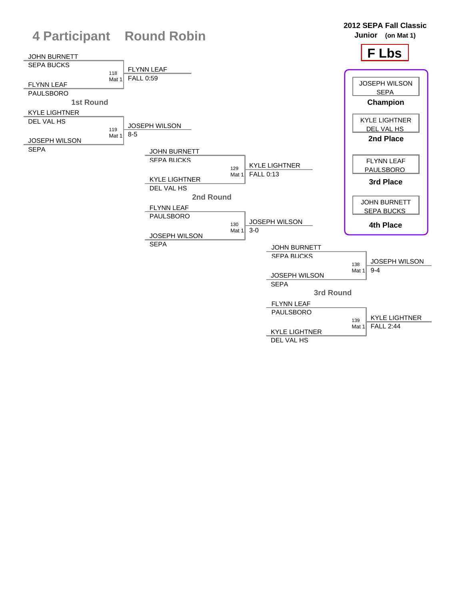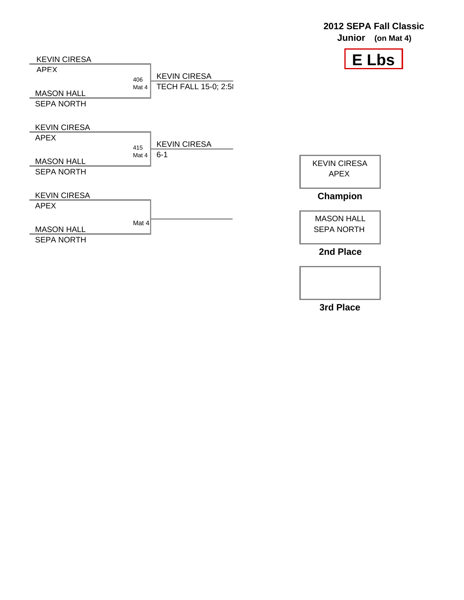



**3rd Place**

## **2012 SEPA Fall Classic**

**Junior (on Mat 4)**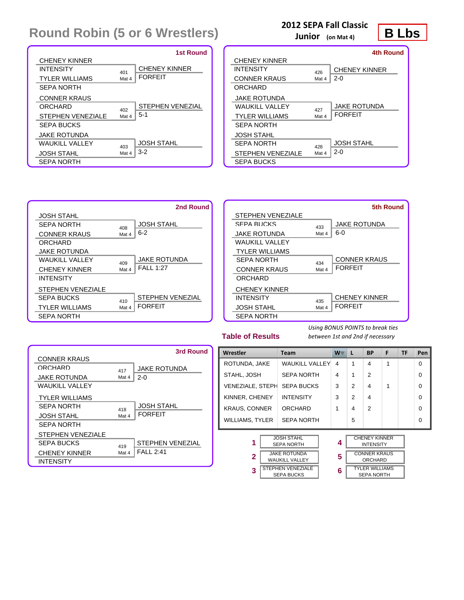|                          |       | <b>1st Round</b>        |
|--------------------------|-------|-------------------------|
| CHENEY KINNER            |       |                         |
| <b>INTENSITY</b>         | 401   | <b>CHENEY KINNER</b>    |
| <b>TYLER WILLIAMS</b>    | Mat 4 | <b>FORFEIT</b>          |
| <b>SEPA NORTH</b>        |       |                         |
| <b>CONNER KRAUS</b>      |       |                         |
| ORCHARD                  | 402   | <b>STEPHEN VENEZIAL</b> |
| <b>STEPHEN VENEZIALE</b> | Mat 4 | $5-1$                   |
| SEPA BUCKS               |       |                         |
| JAKE ROTUNDA             |       |                         |
| WAIKII VAILEY            | 403   | <b>JOSH STAHL</b>       |
| <b>JOSH STAHL</b>        | Mat 4 | $3-2$                   |
| <b>SEPA NORTH</b>        |       |                         |

### **2012 SEPA Fall Classic**

**Junior (on Mat 4)**



|                          |       | 4th Round            |
|--------------------------|-------|----------------------|
| <b>CHENEY KINNER</b>     |       |                      |
| <b>INTENSITY</b>         | 426   | <b>CHENEY KINNER</b> |
| <b>CONNER KRAUS</b>      | Mat 4 | $2 - 0$              |
| ORCHARD                  |       |                      |
| JAKE ROTUNDA             |       |                      |
| WALIKILI VALLEY          | 427   | <b>JAKE ROTUNDA</b>  |
| <b>TYLER WILLIAMS</b>    | Mat 4 | <b>FORFFIT</b>       |
| <b>SEPA NORTH</b>        |       |                      |
| JOSH STAHL               |       |                      |
| SEPA NORTH               | 428   | <b>JOSH STAHL</b>    |
| <b>STEPHEN VENEZIALE</b> | Mat 4 | $2 - 0$              |
| SEPA BUCKS               |       |                      |



|                          |       | 5th Round            |
|--------------------------|-------|----------------------|
| <b>STEPHEN VENEZIALE</b> |       |                      |
| SEPA BUCKS               | 433   | <b>JAKE ROTUNDA</b>  |
| JAKE ROTUNDA             | Mat 4 | $6 - 0$              |
| WAUKILL VALLEY           |       |                      |
| <b>TYLER WILLIAMS</b>    |       |                      |
| SEPA NORTH               | 434   | <b>CONNER KRAUS</b>  |
| <b>CONNER KRAUS</b>      | Mat 4 | <b>FORFFIT</b>       |
| ORCHARD                  |       |                      |
| <b>CHENEY KINNER</b>     |       |                      |
| <b>INTENSITY</b>         | 435   | <b>CHENEY KINNER</b> |
| JOSH STAHL               | Mat 4 | <b>FORFFIT</b>       |
| <b>SEPA NORTH</b>        |       |                      |

#### **Table of Results**

*Using BONUS POINTS to break ties between 1st and 2nd if necessary*

SEPA NORTH

|                          |       | 3rd Round               |
|--------------------------|-------|-------------------------|
| <b>CONNER KRAUS</b>      |       |                         |
| <b>ORCHARD</b>           | 417   | <b>JAKE ROTUNDA</b>     |
| <b>JAKE ROTUNDA</b>      | Mat 4 | $2 - 0$                 |
| WAUKILL VALLEY           |       |                         |
| <b>TYLER WILLIAMS</b>    |       |                         |
| SEPA NORTH               | 418   | <b>JOSH STAHL</b>       |
| <b>JOSH STAHL</b>        | Mat 4 | <b>FORFFIT</b>          |
| <b>SEPA NORTH</b>        |       |                         |
| <b>STEPHEN VENEZIALE</b> |       |                         |
| SEPA BUCKS               | 419   | <b>STEPHEN VENEZIAL</b> |
| <b>CHENEY KINNER</b>     | Mat 4 | <b>FALL 2:41</b>        |
| <b>INTENSITY</b>         |       |                         |

|  | Wrestler                                    |  | <b>Team</b>                                  | $W^-$                    | L                                        | <b>BP</b>                             | F | TF | Pen      |
|--|---------------------------------------------|--|----------------------------------------------|--------------------------|------------------------------------------|---------------------------------------|---|----|----------|
|  | ROTUNDA, JAKE                               |  | <b>WAUKILL VALLEY</b>                        | $\overline{\mathcal{A}}$ | 1                                        | $\overline{4}$                        | 1 |    | $\Omega$ |
|  | STAHL, JOSH                                 |  | <b>SEPA NORTH</b>                            | 4                        | 1                                        | $\mathfrak{p}$                        |   |    | $\Omega$ |
|  | <b>VENEZIALE, STEPH</b>                     |  | <b>SEPA BUCKS</b>                            | 3                        | 2                                        | $\overline{4}$                        | 1 |    | $\Omega$ |
|  | KINNER, CHENEY                              |  | <b>INTENSITY</b>                             | 3                        | 2                                        | $\overline{4}$                        |   |    | $\Omega$ |
|  | <b>KRAUS, CONNER</b>                        |  | ORCHARD                                      | 1                        | 4                                        | $\mathfrak{p}$                        |   |    | $\Omega$ |
|  | <b>WILLIAMS, TYLER</b>                      |  | <b>SEPA NORTH</b>                            |                          | 5                                        |                                       |   |    | $\Omega$ |
|  |                                             |  |                                              |                          |                                          |                                       |   |    |          |
|  | <b>JOSH STAHL</b><br>1<br><b>SEPA NORTH</b> |  | 4                                            |                          | <b>CHENEY KINNER</b><br><b>INTENSITY</b> |                                       |   |    |          |
|  | $\mathbf{2}$                                |  | <b>JAKE ROTUNDA</b><br><b>WAUKILL VALLEY</b> | 5                        |                                          | <b>CONNER KRAUS</b><br><b>ORCHARD</b> |   |    |          |
|  | 3                                           |  | <b>STEPHEN VENEZIALE</b><br>OEDA DUOIZO      | 6                        |                                          | TYLER WILLIAMS<br><b>CEDA NODTLI</b>  |   |    |          |

SEPA BUCKS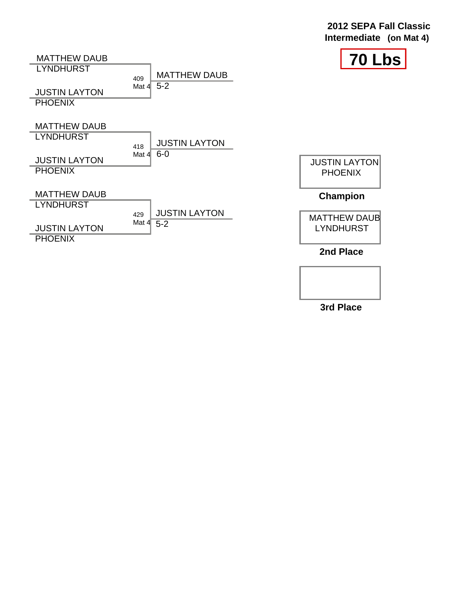#### **70 Lbs Intermediate (on Mat 4)** MATTHEW DAUB **LYNDHURST** 409 **JUSTIN LAYTON PHOENIX** MATTHEW DAUB **LYNDHURST** 418 **JUSTIN LAYTON PHOENIX** MATTHEW DAUB **LYNDHURST** 429 **JUSTIN LAYTON PHOENIX** MATTHEW DAUB Mat  $4\overline{5-2}$ JUSTIN LAYTON Mat 4 6-0 JUSTIN LAYTON **PHOENIX** MATTHEW DAUB LYNDHURST **Champion** JUSTIN LAYTON Mat 4 5-2

**2nd Place**

**2012 SEPA Fall Classic**

**3rd Place**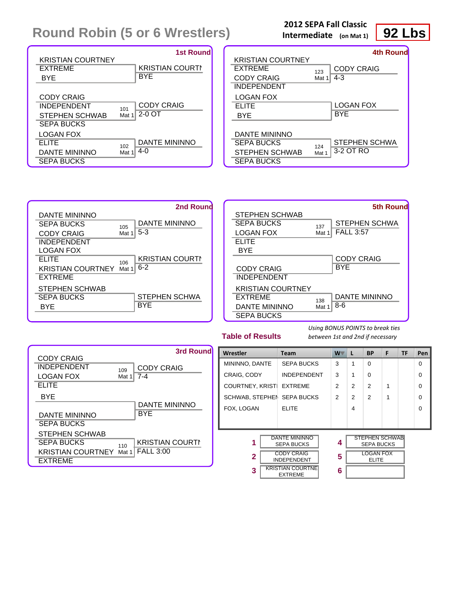| <b>KRISTIAN COURTNEY</b> | <b>1st Round</b>       |
|--------------------------|------------------------|
| EXTREME                  | <b>KRISTIAN COURTN</b> |
| BYE                      | <b>BYE</b>             |
| <b>CODY CRAIG</b>        | <b>CODY CRAIG</b>      |
| <b>INDEPENDENT</b>       | 101                    |
| <b>STEPHEN SCHWAB</b>    | $2-0$ OT               |
| SEPA BUCKS               | Mat 1                  |
| LOGAN FOX                | <b>DANTE MININNO</b>   |
| FI ITF                   | 102                    |
| DANTE MININNO            | 4- $\Omega$            |
| SEPA BUCKS               | Mat 1                  |

#### **2012 SEPA Fall Classic Intermediate (on Mat 1)**

# **92 Lbs**

| <b>KRISTIAN COURTNEY</b>                                                  |              | 4th Round                    |
|---------------------------------------------------------------------------|--------------|------------------------------|
| EXTREME<br><b>CODY CRAIG</b>                                              | 123<br>Mat 1 | <b>CODY CRAIG</b><br>$4 - 3$ |
| <b>INDEPENDENT</b>                                                        |              |                              |
| LOGAN FOX<br><b>ELITE</b><br><b>BYE</b>                                   |              | LOGAN FOX<br><b>BYE</b>      |
| DANTE MININNO<br><b>SEPA BUCKS</b><br>STEPHEN SCHWAB<br><b>SEPA BUCKS</b> | 124<br>Mat 1 | STEPHEN SCHWA<br>3-2 OT RO   |





#### **Table of Results**

| <b>CODY CRAIG</b>                |       | 3rd Round              |
|----------------------------------|-------|------------------------|
| <b>INDEPENDENT</b>               | 109   | <b>CODY CRAIG</b>      |
| <b>LOGAN FOX</b><br><b>ELITE</b> | Mat 1 | $7 - 4$                |
| <b>BYE</b>                       |       |                        |
|                                  |       | <b>DANTE MININNO</b>   |
| DANTE MININNO                    |       | <b>BYE</b>             |
| <b>SEPA BUCKS</b>                |       |                        |
| STEPHEN SCHWAB                   |       |                        |
| <b>SEPA BUCKS</b>                | 110   | <b>KRISTIAN COURTN</b> |
| KRISTIAN COURTNEY Mat 1          |       | <b>FALL 3:00</b>       |
| <b>EXTREME</b>                   |       |                        |

| Wrestler                                                | <b>Team</b>                               | $W^-$ | L              | <b>BP</b>                                  | F | <b>TF</b> | Pen      |
|---------------------------------------------------------|-------------------------------------------|-------|----------------|--------------------------------------------|---|-----------|----------|
| MININNO, DANTE                                          | <b>SEPA BUCKS</b>                         | 3     | 1              | $\Omega$                                   |   |           | $\Omega$ |
| CRAIG, CODY                                             | <b>INDEPENDENT</b>                        | 3     | 1              | $\Omega$                                   |   |           | $\Omega$ |
| <b>COURTNEY, KRIST</b>                                  | <b>EXTREME</b>                            | 2     | 2              | 2                                          | 1 |           | $\Omega$ |
| SCHWAB, STEPHEN                                         | <b>SEPA BUCKS</b>                         | 2     | $\overline{2}$ | 2                                          | 1 |           | $\Omega$ |
| FOX, LOGAN                                              | <b>ELITE</b>                              |       | 4              |                                            |   |           | $\Omega$ |
|                                                         |                                           |       |                |                                            |   |           |          |
|                                                         |                                           |       |                |                                            |   |           |          |
| 1                                                       | <b>DANTE MININNO</b><br><b>SEPA BUCKS</b> | 4     |                | <b>STEPHEN SCHWAB</b><br><b>SEPA BUCKS</b> |   |           |          |
| <b>CODY CRAIG</b><br>$\mathbf{2}$<br><b>INDEPENDENT</b> |                                           | 5     |                | <b>LOGAN FOX</b><br><b>ELITE</b>           |   |           |          |
| <b>KRISTIAN COURTNET</b><br>3<br><b>EXTREME</b>         |                                           | 6     |                |                                            |   |           |          |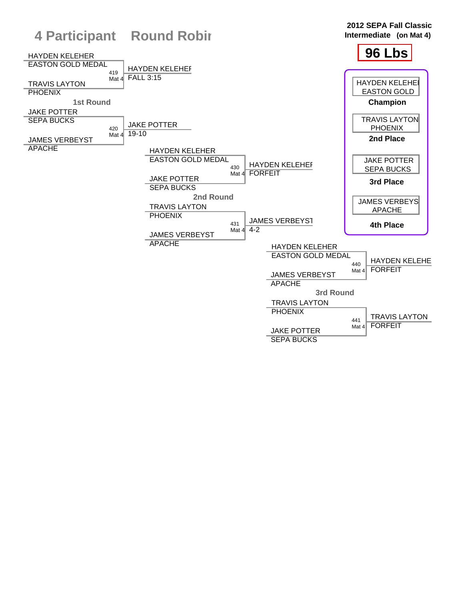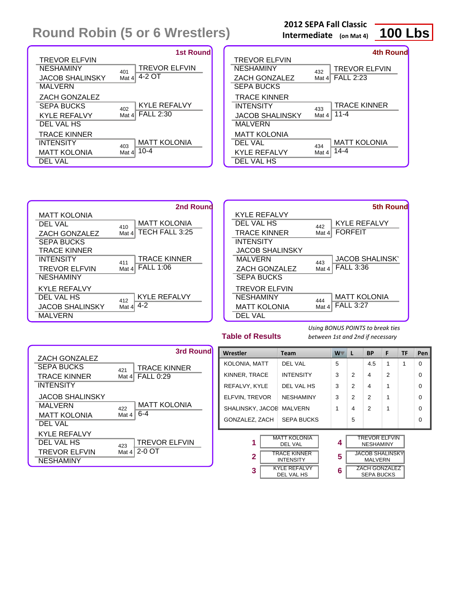|                      | <b>1st Round</b>            |
|----------------------|-----------------------------|
| <b>TREVOR ELFVIN</b> |                             |
| <b>NESHAMINY</b>     | <b>TREVOR ELFVIN</b><br>401 |
| JACOB SHALINSKY      | 4-2 OT<br>Mat 4             |
| <b>MALVERN</b>       |                             |
| <b>ZACH GONZALEZ</b> |                             |
| <b>SEPA BUCKS</b>    | <b>KYLE REFALVY</b><br>402  |
| <b>KYLE REFALVY</b>  | <b>FALL 2:30</b><br>Mat 4   |
| DEL VAL HS           |                             |
| <b>TRACE KINNER</b>  |                             |
| <b>INTENSITY</b>     | <b>MATT KOLONIA</b><br>403  |
| <b>MATT KOLONIA</b>  | $10 - 4$<br>Mat $4$         |
| DEL VAL              |                             |

| <b>2012 SEPA Fall Classic</b>  |  |  |
|--------------------------------|--|--|
| الرادات المتلم الممتعد ممتعدها |  |  |

**Intermediate (on Mat 4)**



**5th Round**

|                        |         | 4th Round            |
|------------------------|---------|----------------------|
| <b>TREVOR ELFVIN</b>   |         |                      |
| <b>NESHAMINY</b>       | 432     | <b>TREVOR ELFVIN</b> |
| <b>ZACH GONZALEZ</b>   | Mat $4$ | <b>FALL 2:23</b>     |
| <b>SEPA BUCKS</b>      |         |                      |
| <b>TRACE KINNER</b>    |         |                      |
| <b>INTENSITY</b>       | 433     | <b>TRACE KINNER</b>  |
| <b>JACOB SHALINSKY</b> | Mat 4   | $11 - 4$             |
| MALVERN                |         |                      |
| <b>MATT KOLONIA</b>    |         |                      |
| DEL VAL                | 434     | <b>MATT KOLONIA</b>  |
| <b>KYLE REFALVY</b>    | Mat 4   | $14 - 4$             |
| DEL VAL HS             |         |                      |

|                        | 2nd Round                    |                        |       | <b>5th Rour</b>       |
|------------------------|------------------------------|------------------------|-------|-----------------------|
| <b>MATT KOLONIA</b>    |                              | <b>KYLE REFALVY</b>    |       |                       |
| <b>DEL VAL</b>         | <b>MATT KOLONIA</b><br>410   | DEL VAL HS             | 442   | <b>KYLE REFALVY</b>   |
| ZACH GONZALEZ          | TECH FALL 3:25<br>Mat $4$    | <b>TRACE KINNER</b>    | Mat 4 | <b>FORFEIT</b>        |
| <b>SEPA BUCKS</b>      |                              | <b>INTENSITY</b>       |       |                       |
| <b>TRACE KINNER</b>    |                              | <b>JACOB SHALINSKY</b> |       |                       |
| <b>INTENSITY</b>       | <b>TRACE KINNER</b><br>411   | <b>MALVERN</b>         | 443   | <b>JACOB SHALINSK</b> |
| <b>TREVOR ELFVIN</b>   | <b>FALL 1:06</b><br>Mat $41$ | ZACH GONZALEZ          | Mat 4 | <b>FALL 3:36</b>      |
| <b>NESHAMINY</b>       |                              | <b>SEPA BUCKS</b>      |       |                       |
| <b>KYLE REFALVY</b>    |                              | <b>TREVOR ELFVIN</b>   |       |                       |
| DEL VAL HS             | <b>KYLE REFALVY</b><br>412   | <b>NESHAMINY</b>       | 444   | <b>MATT KOLONIA</b>   |
| <b>JACOB SHALINSKY</b> | -4-2<br>Mat $41$             | <b>MATT KOLONIA</b>    | Mat 4 | <b>FALL 3:27</b>      |
| MALVERN                |                              | DEL VAL                |       |                       |

|                      | 3rd Round                    |
|----------------------|------------------------------|
| <b>ZACH GONZALEZ</b> |                              |
| SEPA BUCKS           | <b>TRACE KINNER</b><br>421   |
| <b>TRACE KINNER</b>  | <b>FALL 0:29</b><br>Mat $41$ |
| <b>INTENSITY</b>     |                              |
| JACOB SHALINSKY      |                              |
| <b>MALVERN</b>       | <b>MATT KOLONIA</b><br>422   |
| <b>MATT KOLONIA</b>  | 6-4<br>Mat 4                 |
| DEL VAL              |                              |
| KYLE REFALVY         |                              |
| DEL VAL HS           | <b>TREVOR ELFVIN</b><br>423  |
| <b>TREVOR ELFVIN</b> | $2-0$ OT<br>Mat $41$         |
| <b>NESHAMINY</b>     |                              |

| Wrestler         | <b>Team</b>                       | W | L              | <b>BP</b>                                 | F             | <b>TF</b> | Pen      |
|------------------|-----------------------------------|---|----------------|-------------------------------------------|---------------|-----------|----------|
| KOLONIA, MATT    | DEL VAL                           | 5 |                | 4.5                                       | 1             | 1         | $\Omega$ |
| KINNER, TRACE    | <b>INTENSITY</b>                  | 3 | $\mathcal{P}$  | 4                                         | $\mathcal{P}$ |           | $\Omega$ |
| REFALVY, KYLE    | DEL VAL HS                        | 3 | 2              | 4                                         | 1             |           | $\Omega$ |
| ELFVIN, TREVOR   | <b>NESHAMINY</b>                  | 3 | $\mathfrak{p}$ | $\mathcal{P}$                             | 1             |           | $\Omega$ |
| SHALINSKY, JACOE | <b>MALVERN</b>                    | 1 | 4              | $\mathcal{P}$                             | 1             |           | $\Omega$ |
| GONZALEZ, ZACH   | <b>SEPA BUCKS</b>                 |   | 5              |                                           |               |           | $\Omega$ |
| 1                | <b>MATT KOLONIA</b><br>DEL VAL    | 4 |                | <b>TREVOR ELFVIN</b><br><b>NESHAMINY</b>  |               |           |          |
| $\overline{2}$   | TRACE KINNER<br><b>INTENSITY</b>  | 5 |                | JACOB SHALINSKY<br><b>MALVERN</b>         |               |           |          |
| 3                | <b>KYLE REFALVY</b><br>DEL VAL HS | 6 |                | <b>ZACH GONZALEZ</b><br><b>SEPA BUCKS</b> |               |           |          |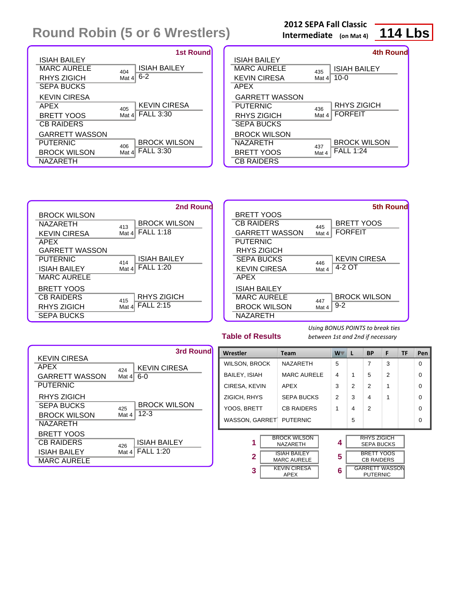|                       | <b>1st Round</b>           |
|-----------------------|----------------------------|
| ISIAH BAILEY          |                            |
| MARC AURELE           | <b>ISIAH BAILEY</b><br>404 |
| <b>RHYS ZIGICH</b>    | $6-2$<br>Mat $4$           |
| SEPA BUCKS            |                            |
| <b>KEVIN CIRESA</b>   |                            |
| APEX                  | <b>KEVIN CIRESA</b><br>405 |
| BRETT YOOS            | <b>FALL 3:30</b><br>Mat 4  |
| <b>CB RAIDERS</b>     |                            |
| <b>GARRETT WASSON</b> |                            |
| PUTERNIC              | <b>BROCK WILSON</b><br>406 |
| <b>BROCK WILSON</b>   | <b>FALL 3:30</b><br>Mat 4  |
| NAZARETH              |                            |

|  |  |  |  |  |  | <b>2012 SEPA Fall Classic</b> |  |
|--|--|--|--|--|--|-------------------------------|--|
|  |  |  |  |  |  |                               |  |

**Intermediate (on Mat 4)**



|                       |       | 4th Round           |
|-----------------------|-------|---------------------|
| <b>ISIAH BAILEY</b>   |       |                     |
| MARC AURELE           | 435   | <b>ISIAH BAILEY</b> |
| <b>KEVIN CIRESA</b>   | Mat 4 | $10 - 0$            |
| APEX                  |       |                     |
| <b>GARRETT WASSON</b> |       |                     |
| PUTERNIC              | 436   | <b>RHYS ZIGICH</b>  |
| RHYS ZIGICH           | Mat 4 | <b>FORFEIT</b>      |
| <b>SEPA BUCKS</b>     |       |                     |
| <b>BROCK WILSON</b>   |       |                     |
| NAZARETH              | 437   | <b>BROCK WILSON</b> |
| <b>BRETT YOOS</b>     | Mat 4 | <b>FALL 1:24</b>    |
| <b>CB RAIDERS</b>     |       |                     |

|                       | 2nd Round                   |                       | <b>5th Round</b>           |
|-----------------------|-----------------------------|-----------------------|----------------------------|
| <b>BROCK WILSON</b>   |                             | <b>BRETT YOOS</b>     |                            |
| <b>NAZARETH</b>       | <b>BROCK WILSON</b><br>413  | <b>CB RAIDERS</b>     | <b>BRETT YOOS</b><br>445   |
| <b>KEVIN CIRESA</b>   | <b>FALL 1:18</b><br>Mat 4   | <b>GARRETT WASSON</b> | <b>FORFEIT</b><br>Mat 4    |
| <b>APEX</b>           |                             | <b>PUTERNIC</b>       |                            |
| <b>GARRETT WASSON</b> |                             | <b>RHYS ZIGICH</b>    |                            |
| <b>PUTERNIC</b>       | <b>ISIAH BAILEY</b><br>414  | <b>SEPA BUCKS</b>     | <b>KEVIN CIRESA</b><br>446 |
| <b>ISIAH BAILEY</b>   | <b>FALL 1:20</b><br>Mat $4$ | <b>KEVIN CIRESA</b>   | 4-2 OT<br>Mat 4            |
| <b>MARC AURELE</b>    |                             | APEX                  |                            |
| <b>BRETT YOOS</b>     |                             | <b>ISIAH BAILEY</b>   |                            |
| <b>CB RAIDERS</b>     | <b>RHYS ZIGICH</b><br>415   | <b>MARC AURELE</b>    | <b>BROCK WILSON</b><br>447 |
| <b>RHYS ZIGICH</b>    | <b>FALL 2:15</b><br>Mat 4   | <b>BROCK WILSON</b>   | $9 - 2$<br>Mat 4           |
| <b>SEPA BUCKS</b>     |                             | <b>NAZARETH</b>       |                            |

| <b>Table of Results</b> |
|-------------------------|
|-------------------------|

|                                                                                | <b>3rd Round</b>                                        |  |
|--------------------------------------------------------------------------------|---------------------------------------------------------|--|
| <b>KEVIN CIRESA</b><br><b>APEX</b><br><b>GARRETT WASSON</b><br><b>PUTERNIC</b> | KEVIN CIRESA<br>424<br>$6-0$<br>Mat $4$                 |  |
| RHYS ZIGICH<br><b>SEPA BUCKS</b><br><b>BROCK WILSON</b><br><b>NAZARETH</b>     | <b>BROCK WILSON</b><br>425<br>$12 - 3$<br>Mat 4         |  |
| <b>BRETT YOOS</b><br><b>CB RAIDERS</b><br>ISIAH BAILEY<br><b>MARC AURELE</b>   | <b>ISIAH BAILEY</b><br>426<br><b>FALL 1:20</b><br>Mat 4 |  |

| Wrestler                             | <b>Team</b>                               | W              | L                                        | <b>BP</b>                               | F              | <b>TF</b> | Pen      |
|--------------------------------------|-------------------------------------------|----------------|------------------------------------------|-----------------------------------------|----------------|-----------|----------|
| <b>WILSON, BROCK</b>                 | <b>NAZARETH</b>                           | 5              |                                          | 7                                       | 3              |           | $\Omega$ |
| <b>BAILEY, ISIAH</b>                 | <b>MARC AURELE</b>                        | 4              | 1                                        | 5                                       | $\mathfrak{p}$ |           | $\Omega$ |
| CIRESA, KEVIN                        | <b>APEX</b>                               | 3              | 2                                        | $\mathfrak{p}$                          | 1              |           | $\Omega$ |
| ZIGICH, RHYS                         | <b>SEPA BUCKS</b>                         | $\overline{2}$ | 3                                        | 4                                       | 1              |           | $\Omega$ |
| YOOS, BRETT                          | <b>CB RAIDERS</b>                         | 1              | 4                                        | $\mathcal{P}$                           |                |           | $\Omega$ |
| WASSON, GARRET PUTERNIC              |                                           |                | 5                                        |                                         |                |           | $\Omega$ |
| <b>BROCK WILSON</b><br>1<br>NAZARETH |                                           | 4              |                                          | <b>RHYS ZIGICH</b><br><b>SEPA BUCKS</b> |                |           |          |
| $\overline{2}$                       | <b>ISIAH BAILEY</b><br><b>MARC AURELE</b> |                | <b>BRETT YOOS</b><br><b>CB RAIDERS</b>   |                                         |                |           |          |
| <b>KEVIN CIRESA</b><br>3             | 6                                         |                | <b>GARRETT WASSON</b><br><b>PUTERNIC</b> |                                         |                |           |          |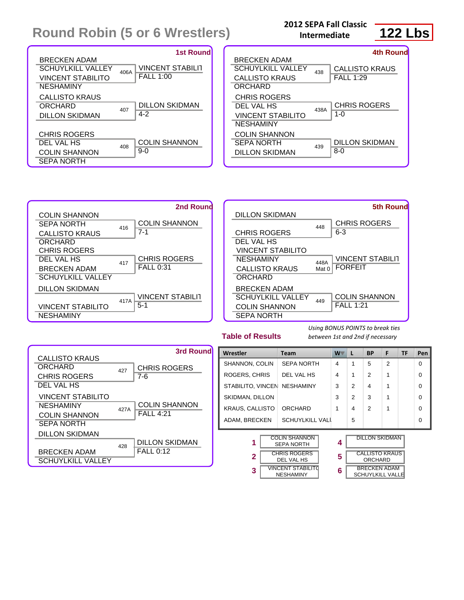#### **2012 SEPA Fall Classic Intermediate**

**122 Lbs**

| <b>1st Round</b>                                                                                                                                       | 4th Round                                                                                                                               |
|--------------------------------------------------------------------------------------------------------------------------------------------------------|-----------------------------------------------------------------------------------------------------------------------------------------|
| <b>BRECKEN ADAM</b><br><b>VINCENT STABILIT</b><br><b>SCHUYLKILL VALLEY</b><br>406A<br><b>FALL 1:00</b><br><b>VINCENT STABILITO</b><br><b>NESHAMINY</b> | <b>BRECKEN ADAM</b><br><b>SCHUYLKILL VALLEY</b><br><b>CALLISTO KRAUS</b><br>438<br><b>FALL 1:29</b><br><b>CALLISTO KRAUS</b><br>ORCHARD |
| <b>CALLISTO KRAUS</b><br><b>DILLON SKIDMAN</b><br>ORCHARD<br>407<br>$4 - 2$<br><b>DILLON SKIDMAN</b>                                                   | <b>CHRIS ROGERS</b><br><b>CHRIS ROGERS</b><br>DEL VAL HS<br>438A<br>$1 - 0$<br>VINCENT STABILITO<br><b>NESHAMINY</b>                    |
| <b>CHRIS ROGERS</b><br><b>COLIN SHANNON</b><br>DEL VAL HS<br>408<br>$9-0$<br><b>COLIN SHANNON</b><br><b>SEPA NORTH</b>                                 | <b>COLIN SHANNON</b><br><b>DILLON SKIDMAN</b><br><b>SEPA NORTH</b><br>439<br>$8 - 0$<br><b>DILLON SKIDMAN</b>                           |





**Table of Results**

| <b>CALLISTO KRAUS</b>          |      | 3rd Round                  |
|--------------------------------|------|----------------------------|
| ORCHARD<br><b>CHRIS ROGERS</b> | 427  | <b>CHRIS ROGERS</b><br>7-6 |
| DEL VAL HS                     |      |                            |
| <b>VINCENT STABILITO</b>       |      |                            |
| <b>NESHAMINY</b>               | 427A | <b>COLIN SHANNON</b>       |
| <b>COLIN SHANNON</b>           |      | <b>FALL 4:21</b>           |
| <b>SEPA NORTH</b>              |      |                            |
| DILLON SKIDMAN                 |      |                            |
|                                | 428  | <b>DILLON SKIDMAN</b>      |
| <b>BRECKEN ADAM</b>            |      | $FALL$ 0:12                |
| SCHUYLKILL VALLEY              |      |                            |

| Wrestler               |                                              | <b>Team</b>                               | $W^-$ | L                                       | <b>BP</b>                                      | F              | <b>TF</b> | Pen      |
|------------------------|----------------------------------------------|-------------------------------------------|-------|-----------------------------------------|------------------------------------------------|----------------|-----------|----------|
| SHANNON, COLIN         |                                              | <b>SEPA NORTH</b>                         | 4     | 1                                       | 5                                              | $\overline{2}$ |           | $\Omega$ |
| <b>ROGERS, CHRIS</b>   |                                              | DEL VAL HS                                | 4     | 1                                       | $\mathfrak{p}$                                 | 1              |           | $\Omega$ |
| STABILITO, VINCEN      |                                              | <b>NESHAMINY</b>                          | 3     | 2                                       | $\overline{4}$                                 | 1              |           | $\Omega$ |
| SKIDMAN, DILLON        |                                              |                                           | 3     | 2                                       | 3                                              | 1              |           | $\Omega$ |
| <b>KRAUS, CALLISTO</b> |                                              | ORCHARD                                   | 1     | 4                                       | $\mathfrak{p}$                                 | 1              |           | $\Omega$ |
| ADAM, BRECKEN          |                                              | <b>SCHUYLKILL VALL</b>                    |       | 5                                       |                                                |                |           | $\Omega$ |
| 1                      |                                              | <b>COLIN SHANNON</b><br><b>SEPA NORTH</b> | 4     |                                         | <b>DILLON SKIDMAN</b>                          |                |           |          |
| 2                      | <b>CHRIS ROGERS</b><br>DEL VAL HS            |                                           | 5     | <b>CALLISTO KRAUS</b><br><b>ORCHARD</b> |                                                |                |           |          |
| 3                      | <b>VINCENT STABILITO</b><br><b>NESHAMINY</b> |                                           | 6     |                                         | <b>BRECKEN ADAM</b><br><b>SCHUYLKILL VALLE</b> |                |           |          |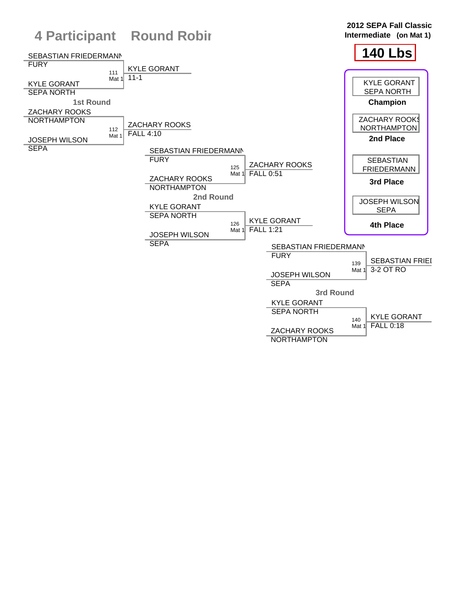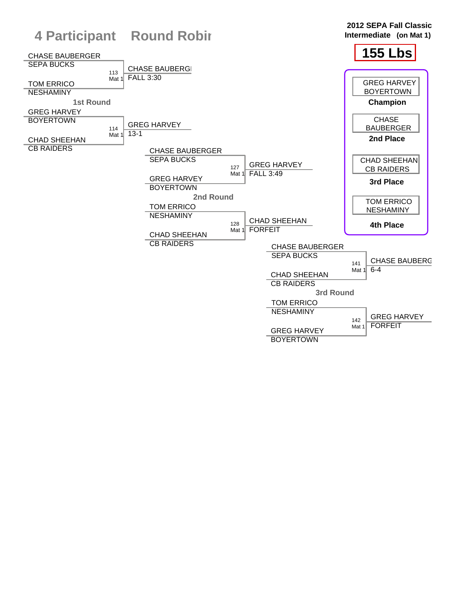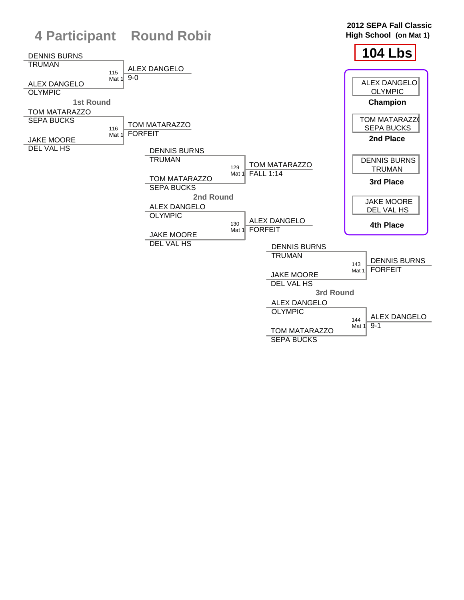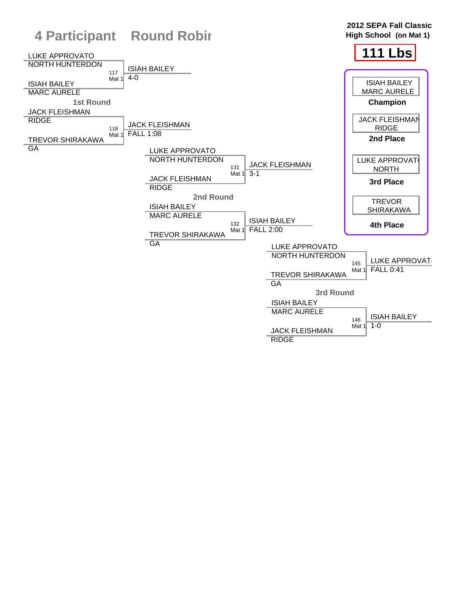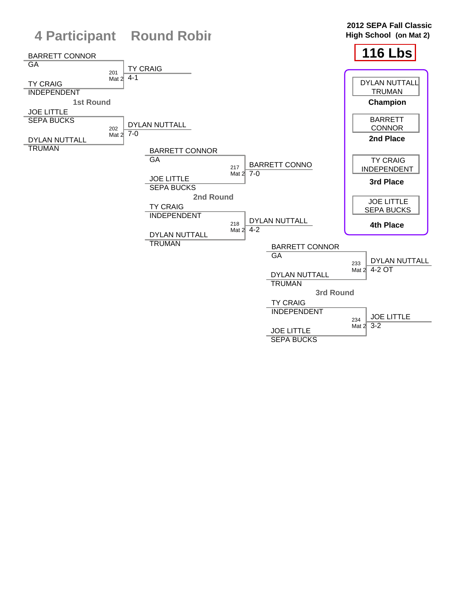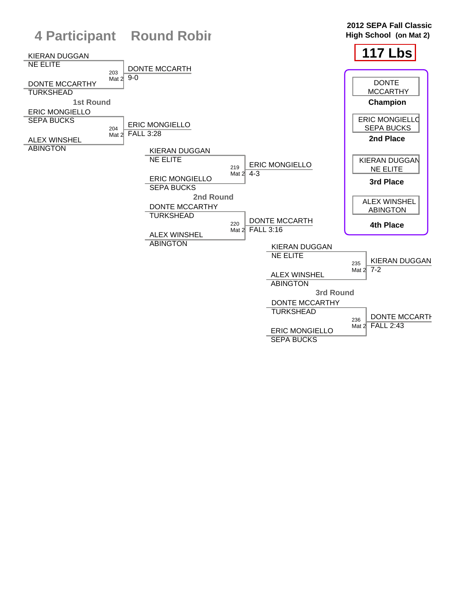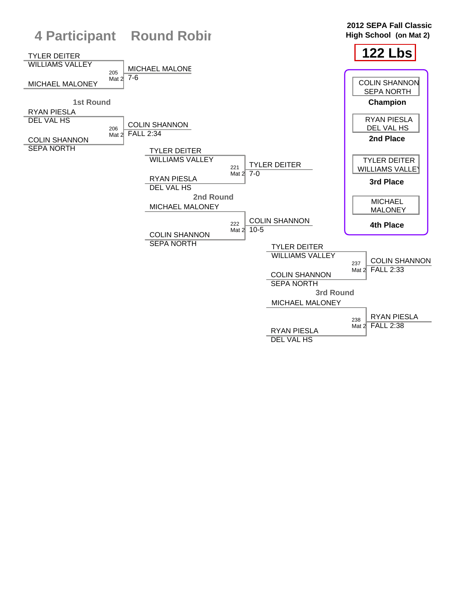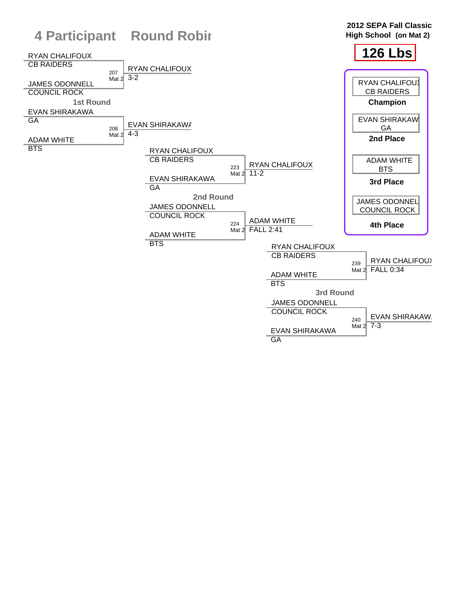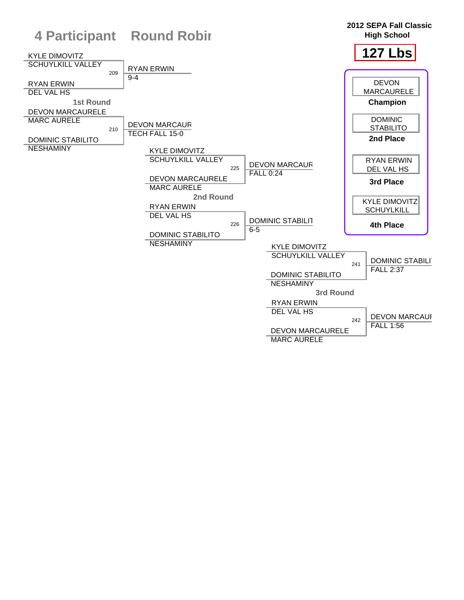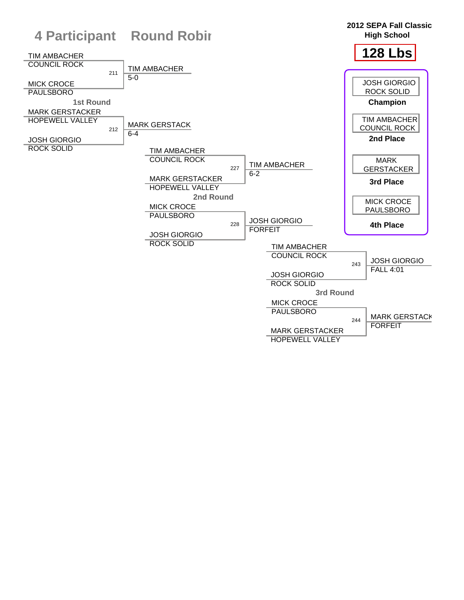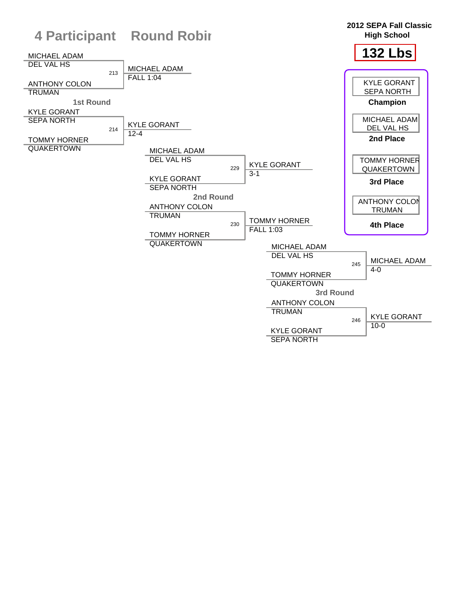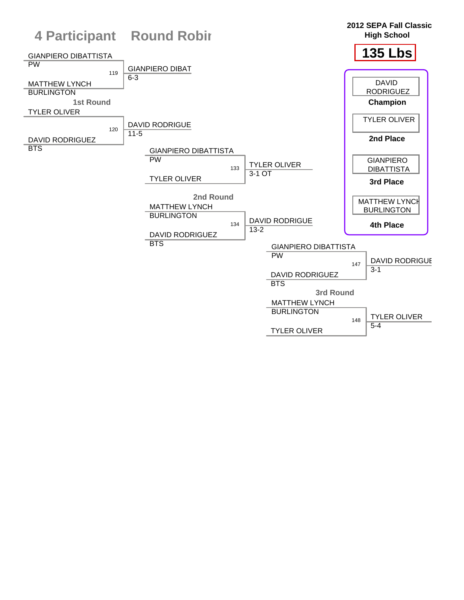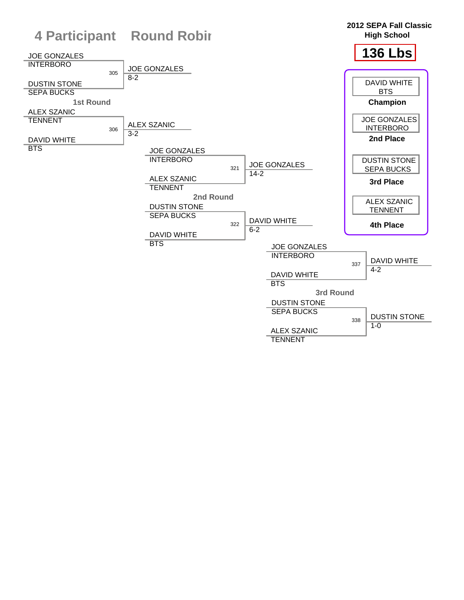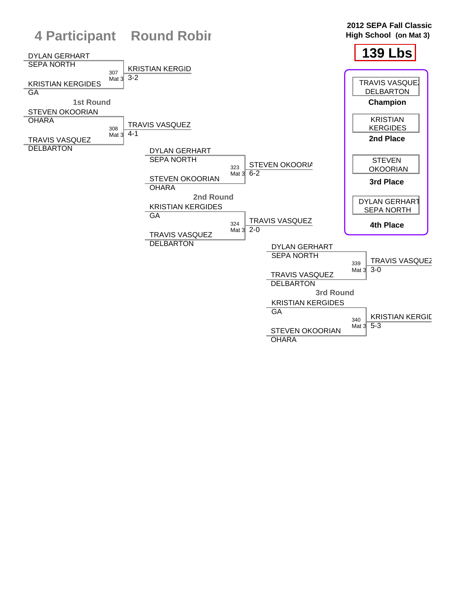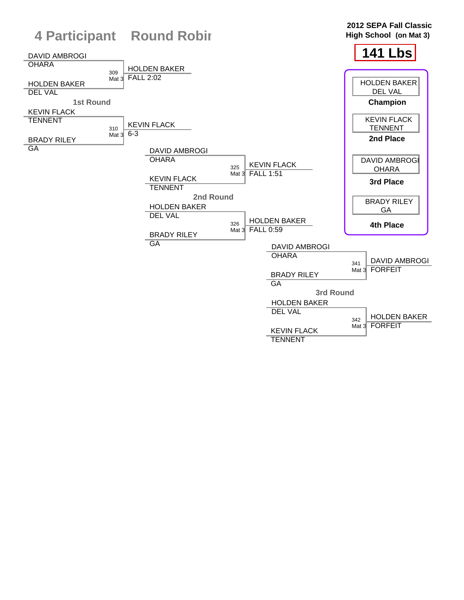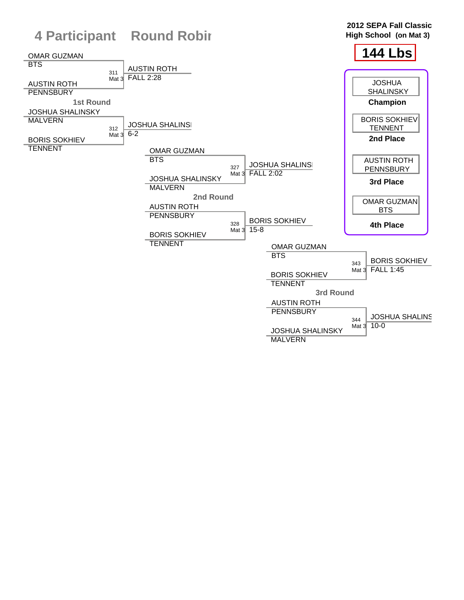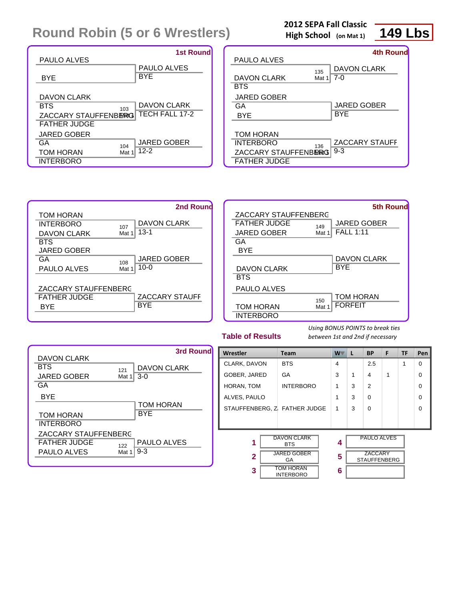| <b>PAULO ALVES</b>                                                | <b>1st Round</b>                                   |
|-------------------------------------------------------------------|----------------------------------------------------|
|                                                                   | <b>PAULO ALVES</b>                                 |
| BYE                                                               | <b>BYE</b>                                         |
| DAVON CLARK<br>BTS<br>ZACCARY STAUFFENBERG<br><b>FATHER JUDGE</b> | <b>DAVON CLARK</b><br>103<br><b>TECH FALL 17-2</b> |
| <b>JARED GOBER</b><br>GA                                          | <b>JARED GOBER</b>                                 |
| TOM HORAN                                                         | 104<br>$12-2$<br>Mat 1                             |
| <b>INTERBORO</b>                                                  |                                                    |

| <b>2012 SEPA Fall Classic</b> |  |  |
|-------------------------------|--|--|
| High School (on Mat 1)        |  |  |



|                      |       | <b>4th Round</b> |
|----------------------|-------|------------------|
| <b>PAULO ALVES</b>   |       |                  |
|                      | 135   | DAVON CLARK      |
| DAVON CLARK          | Mat 1 | 7-0              |
| <b>BTS</b>           |       |                  |
| JARED GOBER          |       |                  |
| GA                   |       | JARED GOBER      |
| BYE                  |       | BYE              |
|                      |       |                  |
| <b>TOM HORAN</b>     |       |                  |
| <b>INTERBORO</b>     | 136   | ZACCARY STAUFF   |
| ZACCARY STAUFFENBERG |       | $9 - 3$          |
| <b>FATHER JUDGE</b>  |       |                  |





**Table of Results**



| Wrestler                          | <b>Team</b>                                                                                          | W.          | L | <b>BP</b>                                                   | F | <b>TF</b> | Pen      |
|-----------------------------------|------------------------------------------------------------------------------------------------------|-------------|---|-------------------------------------------------------------|---|-----------|----------|
| CLARK, DAVON                      | <b>BTS</b>                                                                                           | 4           |   | 2.5                                                         |   | 1         | $\Omega$ |
| GOBER, JARED                      | GA                                                                                                   | 3           | 1 | 4                                                           | 1 |           | $\Omega$ |
| HORAN, TOM                        | <b>INTERBORO</b>                                                                                     | 1           | 3 | 2                                                           |   |           | $\Omega$ |
| ALVES, PAULO                      |                                                                                                      | 1           | 3 | $\Omega$                                                    |   |           | $\Omega$ |
| STAUFFENBERG, Z FATHER JUDGE      |                                                                                                      | 1           | 3 | $\Omega$                                                    |   |           | $\Omega$ |
|                                   |                                                                                                      |             |   |                                                             |   |           |          |
| 1<br>$\overline{\mathbf{2}}$<br>3 | <b>DAVON CLARK</b><br><b>BTS</b><br><b>JARED GOBER</b><br>GA<br><b>TOM HORAN</b><br><b>INTERBORO</b> | 4<br>5<br>6 |   | <b>PAULO ALVES</b><br><b>ZACCARY</b><br><b>STAUFFENBERG</b> |   |           |          |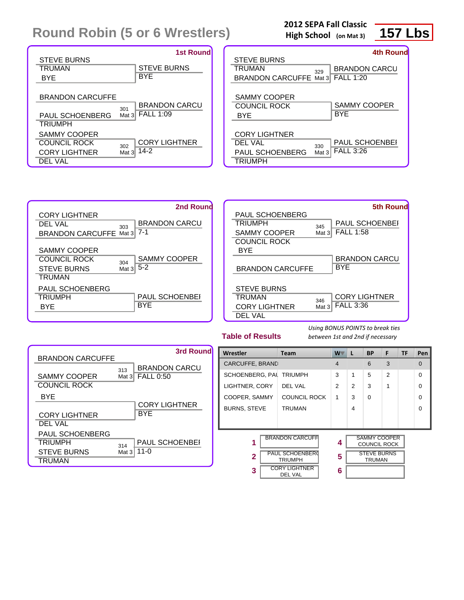|                      |          | <b>1st Round</b>     |
|----------------------|----------|----------------------|
| <b>STEVE BURNS</b>   |          |                      |
| TRUMAN               |          | <b>STEVE BURNS</b>   |
| <b>BYE</b>           |          | BYE                  |
|                      |          |                      |
| BRANDON CARCUFFE     |          |                      |
|                      | 301      | <b>BRANDON CARCU</b> |
| PAUL SCHOENBERG      | Mat $31$ | <b>FALL 1:09</b>     |
| <b>TRIUMPH</b>       |          |                      |
| <b>SAMMY COOPER</b>  |          |                      |
| COUNCIL ROCK         | 302      | <b>CORY LIGHTNER</b> |
| <b>CORY LIGHTNER</b> | Mat $3$  | $14-2$               |
| DEL VAL              |          |                      |

## **2012 SEPA Fall Classic**

**High School (on Mat 3)**

# **157 Lbs**

|                                 | <b>4th Round</b>     |
|---------------------------------|----------------------|
| <b>STEVE BURNS</b>              |                      |
| TRUMAN<br>329                   | <b>BRANDON CARCU</b> |
| <b>BRANDON CARCUFFE Mat 3</b>   | <b>FALL 1:20</b>     |
|                                 |                      |
| <b>SAMMY COOPER</b>             |                      |
| COUNCIL ROCK                    | <b>SAMMY COOPER</b>  |
| BYE                             | BYE                  |
|                                 |                      |
| <b>CORY LIGHTNER</b>            |                      |
| DEL VAL<br>330                  | PAUL SCHOENBEI       |
| <b>PAUL SCHOENBERG</b><br>Mat 3 | <b>FALL 3:26</b>     |
| <b>TRIUMPH</b>                  |                      |

| 2nd Round                                                                                                                       | <b>5th Round</b>                                                                                                                          |
|---------------------------------------------------------------------------------------------------------------------------------|-------------------------------------------------------------------------------------------------------------------------------------------|
| <b>CORY LIGHTNER</b><br><b>BRANDON CARCU</b><br>DEL VAL<br>303<br>$7 - 1$<br><b>BRANDON CARCUFFE Mat 3</b>                      | PAUL SCHOENBERG<br><b>PAUL SCHOENBEI</b><br>TRIUMPH<br>345<br><b>FALL 1:58</b><br><b>SAMMY COOPER</b><br>Mat $3  $<br><b>COUNCIL ROCK</b> |
| <b>SAMMY COOPER</b><br><b>SAMMY COOPER</b><br><b>COUNCIL ROCK</b><br>304<br>$5 - 2$<br><b>STEVE BURNS</b><br>Mat $31$<br>TRUMAN | <b>BYE</b><br><b>BRANDON CARCU</b><br><b>BYE</b><br><b>BRANDON CARCUFFE</b>                                                               |
| <b>PAUL SCHOENBERG</b><br><b>PAUL SCHOENBEI</b><br>TRIUMPH<br><b>BYE</b><br><b>BYE</b>                                          | <b>STEVE BURNS</b><br><b>CORY LIGHTNER</b><br>TRUMAN<br>346<br><b>FALL 3:36</b><br><b>CORY LIGHTNER</b><br>Mat 3<br><b>DEL VAL</b>        |

**Table of Results**

| <b>BRANDON CARCUFFE</b>                        |                 | 3rd Round                                |
|------------------------------------------------|-----------------|------------------------------------------|
| <b>SAMMY COOPER</b><br>COUNCIL ROCK            | 313<br>Mat $3$  | <b>BRANDON CARCU</b><br><b>FALL 0:50</b> |
| BYE<br><b>CORY LIGHTNER</b>                    |                 | <b>CORY LIGHTNER</b><br><b>BYF</b>       |
| DEL VAL<br>PAUL SCHOENBERG                     |                 |                                          |
| <b>TRIUMPH</b><br><b>STEVE BURNS</b><br>TRUMAN | 314<br>Mat $31$ | <b>PAUL SCHOENBEI</b><br>$11 - 0$        |

| Wrestler               | <b>Team</b>                       | W              | L                                   | <b>BP</b>                                  | F              | <b>TF</b> | Pen      |
|------------------------|-----------------------------------|----------------|-------------------------------------|--------------------------------------------|----------------|-----------|----------|
| <b>CARCUFFE, BRAND</b> |                                   | 4              |                                     | 6                                          | 3              |           | 0        |
| SCHOENBERG, PAL        | <b>TRIUMPH</b>                    | 3              | 1                                   | 5                                          | $\overline{2}$ |           | $\Omega$ |
| LIGHTNER, CORY         | DEL VAL                           | $\overline{2}$ | $\overline{2}$                      | 3                                          | 1              |           | $\Omega$ |
| COOPER, SAMMY          | <b>COUNCIL ROCK</b>               | 1              | 3                                   | $\Omega$                                   |                |           | $\Omega$ |
| <b>BURNS, STEVE</b>    | <b>TRUMAN</b>                     |                | 4                                   |                                            |                |           | $\Omega$ |
|                        |                                   |                |                                     |                                            |                |           |          |
|                        |                                   |                |                                     |                                            |                |           |          |
| 1                      | <b>BRANDON CARCUFFI</b>           | 4              |                                     | <b>SAMMY COOPER</b><br><b>COUNCIL ROCK</b> |                |           |          |
| $\overline{2}$         | PAUL SCHOENBERG<br><b>TRIUMPH</b> |                | <b>STEVE BURNS</b><br><b>TRUMAN</b> |                                            |                |           |          |
| 3                      | <b>CORY LIGHTNER</b>              | 6              |                                     |                                            |                |           |          |
|                        | DEL VAL                           |                |                                     |                                            |                |           |          |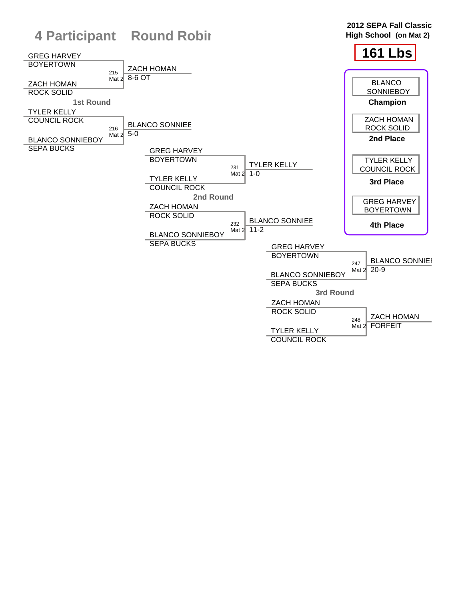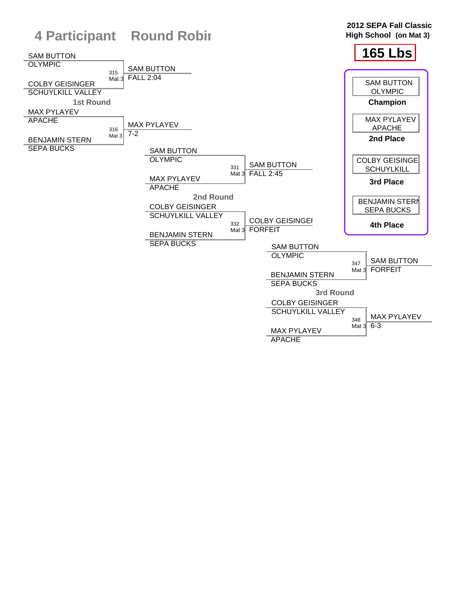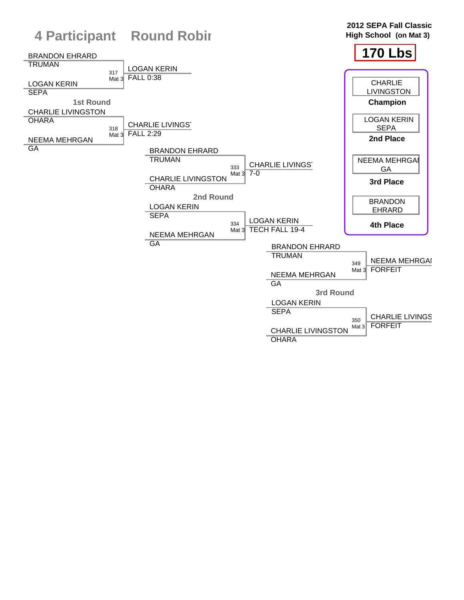